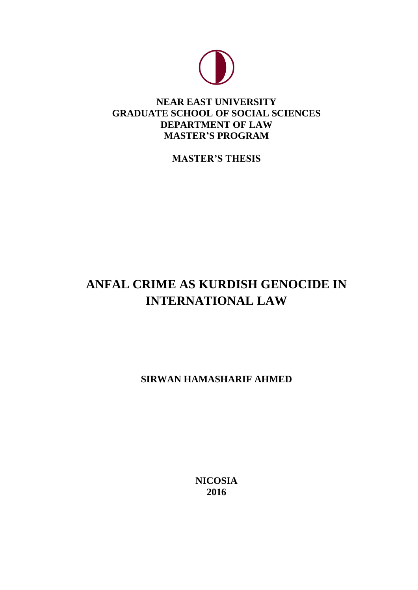

# **NEAR EAST UNIVERSITY GRADUATE SCHOOL OF SOCIAL SCIENCES DEPARTMENT OF LAW MASTER'S PROGRAM**

**MASTER'S THESIS**

# **ANFAL CRIME AS KURDISH GENOCIDE IN INTERNATIONAL LAW**

**SIRWAN HAMASHARIF AHMED**

**NICOSIA 2016**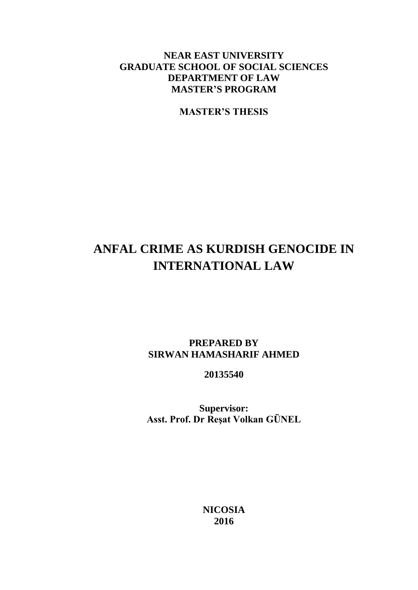# **NEAR EAST UNIVERSITY GRADUATE SCHOOL OF SOCIAL SCIENCES DEPARTMENT OF LAW MASTER'S PROGRAM**

**MASTER'S THESIS**

# **ANFAL CRIME AS KURDISH GENOCIDE IN INTERNATIONAL LAW**

# **PREPARED BY SIRWAN HAMASHARIF AHMED**

**20135540**

**Supervisor: Asst. Prof. Dr Reşat Volkan GÜNEL**

> **NICOSIA 2016**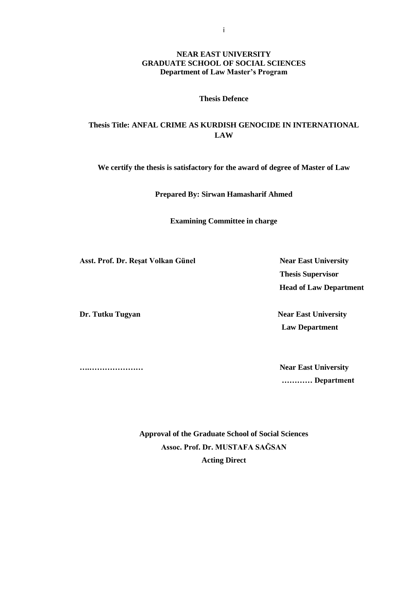#### **NEAR EAST UNIVERSITY GRADUATE SCHOOL OF SOCIAL SCIENCES Department of Law Master's Program**

#### **Thesis Defence**

# **Thesis Title: ANFAL CRIME AS KURDISH GENOCIDE IN INTERNATIONAL LAW**

**We certify the thesis is satisfactory for the award of degree of Master of Law**

**Prepared By: Sirwan Hamasharif Ahmed**

**Examining Committee in charge** 

Asst. Prof. Dr. Resat Volkan Günel Near East University

**Dr. Tutku Tugyan Near East University** 

 **Thesis Supervisor Head of Law Department**

 **Law Department** 

**….………………… Near East University ………… Department**

> **Approval of the Graduate School of Social Sciences Assoc. Prof. Dr. MUSTAFA SAĞSAN Acting Direct**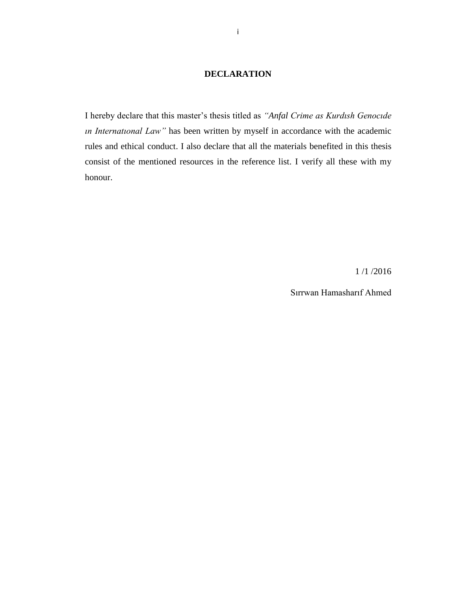# **DECLARATION**

I hereby declare that this master's thesis titled as *"Anfal Crime as Kurdısh Genocıde ın Internatıonal Law"* has been written by myself in accordance with the academic rules and ethical conduct. I also declare that all the materials benefited in this thesis consist of the mentioned resources in the reference list. I verify all these with my honour.

1 /1 /2016

Sırrwan Hamasharıf Ahmed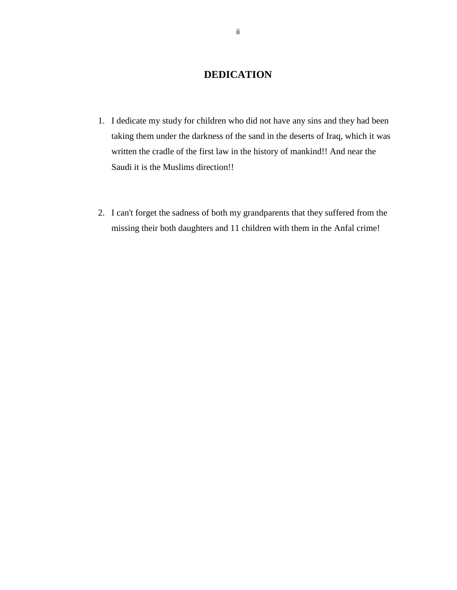# **DEDICATION**

- <span id="page-4-0"></span>1. I dedicate my study for children who did not have any sins and they had been taking them under the darkness of the sand in the deserts of Iraq, which it was written the cradle of the first law in the history of mankind!! And near the Saudi it is the Muslims direction!!
- 2. I can't forget the sadness of both my grandparents that they suffered from the missing their both daughters and 11 children with them in the Anfal crime!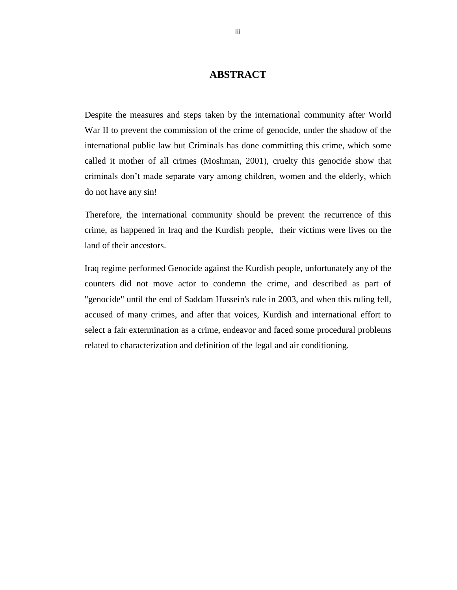# **ABSTRACT**

<span id="page-5-0"></span>Despite the measures and steps taken by the international community after World War II to prevent the commission of the crime of genocide, under the shadow of the international public law but Criminals has done committing this crime, which some called it mother of all crimes (Moshman, 2001), cruelty this genocide show that criminals don't made separate vary among children, women and the elderly, which do not have any sin!

Therefore, the international community should be prevent the recurrence of this crime, as happened in Iraq and the Kurdish people, their victims were lives on the land of their ancestors.

Iraq regime performed Genocide against the Kurdish people, unfortunately any of the counters did not move actor to condemn the crime, and described as part of "genocide" until the end of Saddam Hussein's rule in 2003, and when this ruling fell, accused of many crimes, and after that voices, Kurdish and international effort to select a fair extermination as a crime, endeavor and faced some procedural problems related to characterization and definition of the legal and air conditioning.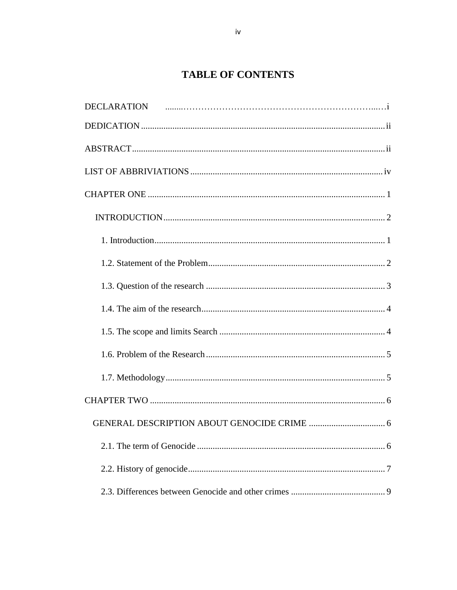# **TABLE OF CONTENTS**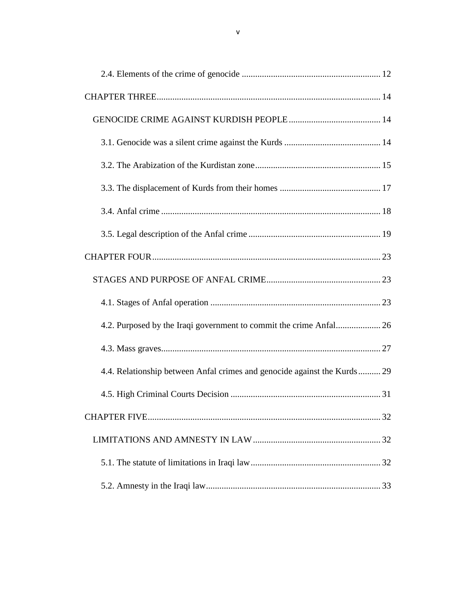| 4.2. Purposed by the Iraqi government to commit the crime Anfal 26       |  |
|--------------------------------------------------------------------------|--|
|                                                                          |  |
| 4.4. Relationship between Anfal crimes and genocide against the Kurds 29 |  |
|                                                                          |  |
|                                                                          |  |
|                                                                          |  |
|                                                                          |  |
|                                                                          |  |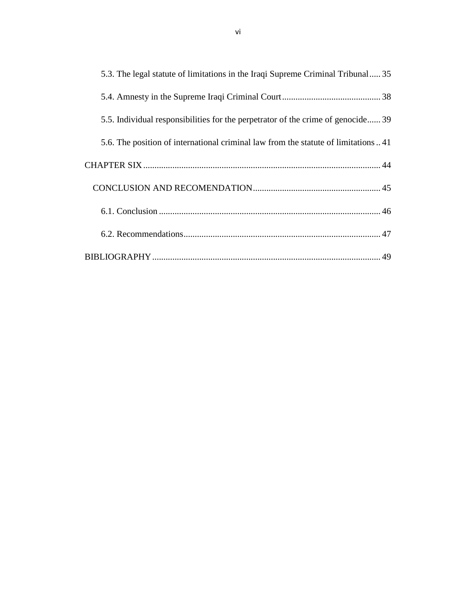<span id="page-8-0"></span>

| 5.3. The legal statute of limitations in the Iraqi Supreme Criminal Tribunal 35   |
|-----------------------------------------------------------------------------------|
|                                                                                   |
| 5.5. Individual responsibilities for the perpetrator of the crime of genocide 39  |
| 5.6. The position of international criminal law from the statute of limitations41 |
|                                                                                   |
|                                                                                   |
|                                                                                   |
|                                                                                   |
|                                                                                   |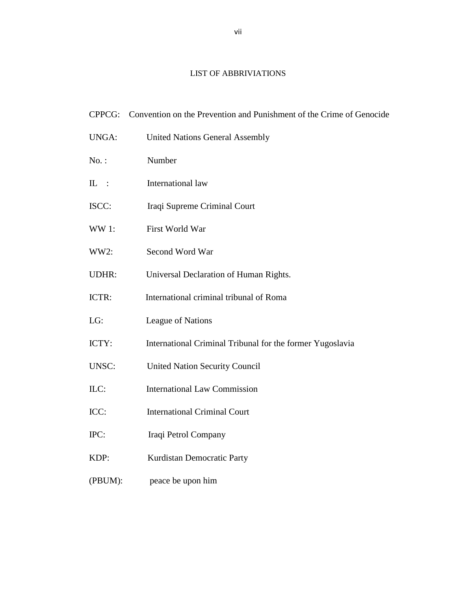# LIST OF ABBRIVIATIONS

| CPPCG:       | Convention on the Prevention and Punishment of the Crime of Genocide |
|--------------|----------------------------------------------------------------------|
| <b>UNGA:</b> | <b>United Nations General Assembly</b>                               |
| $No.$ :      | Number                                                               |
| $IL$ :       | International law                                                    |
| ISCC:        | Iraqi Supreme Criminal Court                                         |
| <b>WW1:</b>  | First World War                                                      |
| WW2:         | Second Word War                                                      |
| <b>UDHR:</b> | Universal Declaration of Human Rights.                               |
| ICTR:        | International criminal tribunal of Roma                              |
| LG:          | League of Nations                                                    |
| ICTY:        | International Criminal Tribunal for the former Yugoslavia            |
| <b>UNSC:</b> | <b>United Nation Security Council</b>                                |
| ILC:         | <b>International Law Commission</b>                                  |
| ICC:         | <b>International Criminal Court</b>                                  |
| IPC:         | Iraqi Petrol Company                                                 |
| KDP:         | Kurdistan Democratic Party                                           |
| (PBUM):      | peace be upon him                                                    |
|              |                                                                      |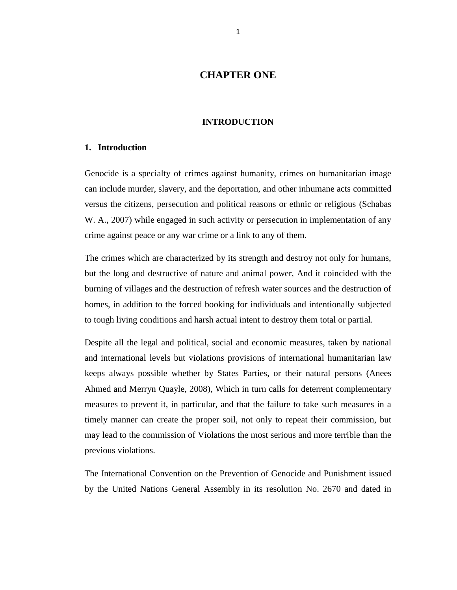# **CHAPTER ONE**

#### **INTRODUCTION**

#### <span id="page-10-1"></span><span id="page-10-0"></span>**1. Introduction**

Genocide is a specialty of crimes against humanity, crimes on humanitarian image can include murder, slavery, and the deportation, and other inhumane acts committed versus the citizens, persecution and political reasons or ethnic or religious (Schabas W. A., 2007) while engaged in such activity or persecution in implementation of any crime against peace or any war crime or a link to any of them.

The crimes which are characterized by its strength and destroy not only for humans, but the long and destructive of nature and animal power, And it coincided with the burning of villages and the destruction of refresh water sources and the destruction of homes, in addition to the forced booking for individuals and intentionally subjected to tough living conditions and harsh actual intent to destroy them total or partial.

Despite all the legal and political, social and economic measures, taken by national and international levels but violations provisions of international humanitarian law keeps always possible whether by States Parties, or their natural persons (Anees Ahmed and Merryn Quayle, 2008), Which in turn calls for deterrent complementary measures to prevent it, in particular, and that the failure to take such measures in a timely manner can create the proper soil, not only to repeat their commission, but may lead to the commission of Violations the most serious and more terrible than the previous violations.

The International Convention on the Prevention of Genocide and Punishment issued by the United Nations General Assembly in its resolution No. 2670 and dated in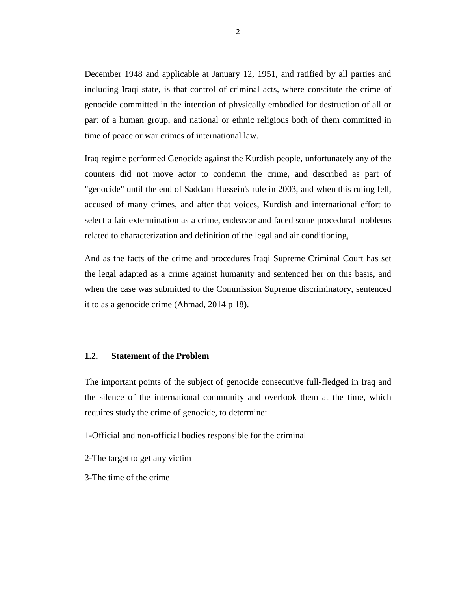December 1948 and applicable at January 12, 1951, and ratified by all parties and including Iraqi state, is that control of criminal acts, where constitute the crime of genocide committed in the intention of physically embodied for destruction of all or part of a human group, and national or ethnic religious both of them committed in time of peace or war crimes of international law.

Iraq regime performed Genocide against the Kurdish people, unfortunately any of the counters did not move actor to condemn the crime, and described as part of "genocide" until the end of Saddam Hussein's rule in 2003, and when this ruling fell, accused of many crimes, and after that voices, Kurdish and international effort to select a fair extermination as a crime, endeavor and faced some procedural problems related to characterization and definition of the legal and air conditioning,

And as the facts of the crime and procedures Iraqi Supreme Criminal Court has set the legal adapted as a crime against humanity and sentenced her on this basis, and when the case was submitted to the Commission Supreme discriminatory, sentenced it to as a genocide crime (Ahmad, 2014 p 18).

#### <span id="page-11-0"></span>**1.2. Statement of the Problem**

The important points of the subject of genocide consecutive full-fledged in Iraq and the silence of the international community and overlook them at the time, which requires study the crime of genocide, to determine:

- 1-Official and non-official bodies responsible for the criminal
- 2-The target to get any victim
- 3-The time of the crime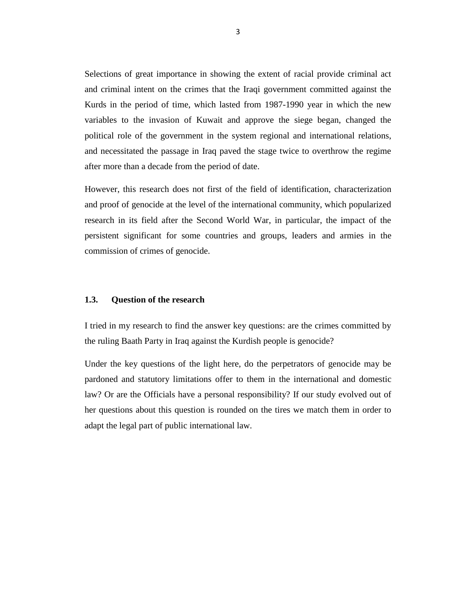Selections of great importance in showing the extent of racial provide criminal act and criminal intent on the crimes that the Iraqi government committed against the Kurds in the period of time, which lasted from 1987-1990 year in which the new variables to the invasion of Kuwait and approve the siege began, changed the political role of the government in the system regional and international relations, and necessitated the passage in Iraq paved the stage twice to overthrow the regime after more than a decade from the period of date.

However, this research does not first of the field of identification, characterization and proof of genocide at the level of the international community, which popularized research in its field after the Second World War, in particular, the impact of the persistent significant for some countries and groups, leaders and armies in the commission of crimes of genocide.

#### <span id="page-12-0"></span>**1.3. Question of the research**

I tried in my research to find the answer key questions: are the crimes committed by the ruling Baath Party in Iraq against the Kurdish people is genocide?

Under the key questions of the light here, do the perpetrators of genocide may be pardoned and statutory limitations offer to them in the international and domestic law? Or are the Officials have a personal responsibility? If our study evolved out of her questions about this question is rounded on the tires we match them in order to adapt the legal part of public international law.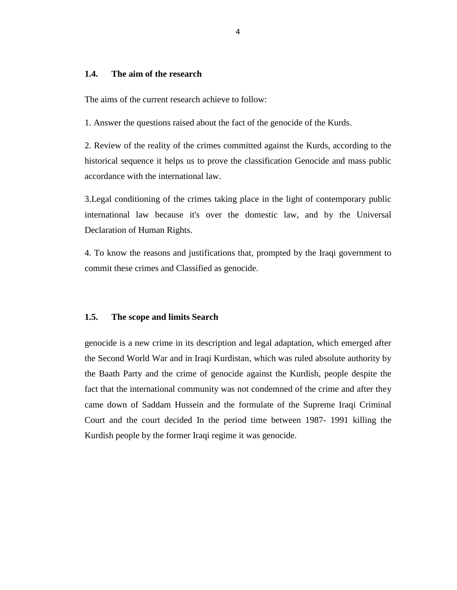### <span id="page-13-0"></span>**1.4. The aim of the research**

The aims of the current research achieve to follow:

1. Answer the questions raised about the fact of the genocide of the Kurds.

2. Review of the reality of the crimes committed against the Kurds, according to the historical sequence it helps us to prove the classification Genocide and mass public accordance with the international law.

3.Legal conditioning of the crimes taking place in the light of contemporary public international law because it's over the domestic law, and by the Universal Declaration of Human Rights.

4. To know the reasons and justifications that, prompted by the Iraqi government to commit these crimes and Classified as genocide.

#### <span id="page-13-1"></span>**1.5. The scope and limits Search**

genocide is a new crime in its description and legal adaptation, which emerged after the Second World War and in Iraqi Kurdistan, which was ruled absolute authority by the Baath Party and the crime of genocide against the Kurdish, people despite the fact that the international community was not condemned of the crime and after they came down of Saddam Hussein and the formulate of the Supreme Iraqi Criminal Court and the court decided In the period time between 1987- 1991 killing the Kurdish people by the former Iraqi regime it was genocide.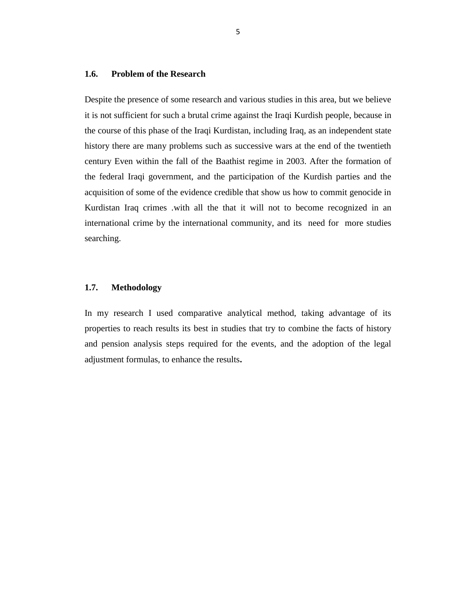### <span id="page-14-0"></span>**1.6. Problem of the Research**

Despite the presence of some research and various studies in this area, but we believe it is not sufficient for such a brutal crime against the Iraqi Kurdish people, because in the course of this phase of the Iraqi Kurdistan, including Iraq, as an independent state history there are many problems such as successive wars at the end of the twentieth century Even within the fall of the Baathist regime in 2003. After the formation of the federal Iraqi government, and the participation of the Kurdish parties and the acquisition of some of the evidence credible that show us how to commit genocide in Kurdistan Iraq crimes .with all the that it will not to become recognized in an international crime by the international community, and its need for more studies searching.

#### <span id="page-14-1"></span>**1.7. Methodology**

In my research I used comparative analytical method, taking advantage of its properties to reach results its best in studies that try to combine the facts of history and pension analysis steps required for the events, and the adoption of the legal adjustment formulas, to enhance the results**.**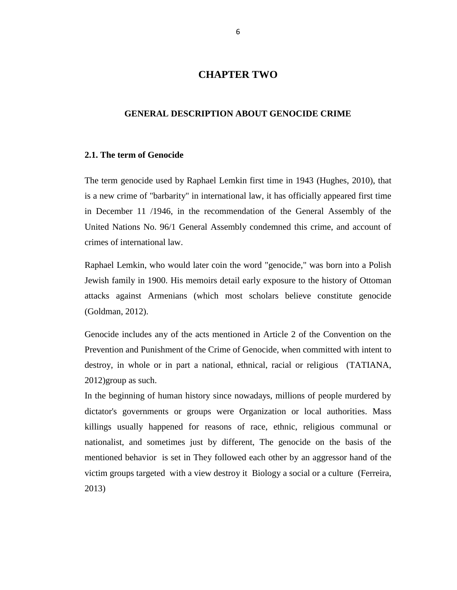# **CHAPTER TWO**

#### <span id="page-15-1"></span><span id="page-15-0"></span>**GENERAL DESCRIPTION ABOUT GENOCIDE CRIME**

#### <span id="page-15-2"></span>**2.1. The term of Genocide**

The term genocide used by Raphael Lemkin first time in 1943 (Hughes, 2010), that is a new crime of "barbarity" in international law, it has officially appeared first time in December 11 /1946, in the recommendation of the General Assembly of the United Nations No. 96/1 General Assembly condemned this crime, and account of crimes of international law.

Raphael Lemkin, who would later coin the word "genocide," was born into a Polish Jewish family in 1900. His memoirs detail early exposure to the history of Ottoman attacks against Armenians (which most scholars believe constitute genocide (Goldman, 2012).

Genocide includes any of the acts mentioned in Article 2 of the Convention on the Prevention and Punishment of the Crime of Genocide, when committed with intent to destroy, in whole or in part a national, ethnical, racial or religious (TATIANA, 2012)group as such.

In the beginning of human history since nowadays, millions of people murdered by dictator's governments or groups were Organization or local authorities. Mass killings usually happened for reasons of race, ethnic, religious communal or nationalist, and sometimes just by different, The genocide on the basis of the mentioned behavior is set in They followed each other by an aggressor hand of the victim groups targeted with a view destroy it Biology a social or a culture (Ferreira, 2013)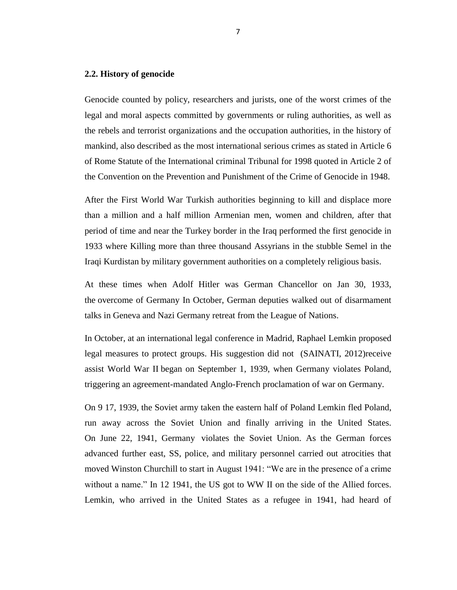#### <span id="page-16-0"></span>**2.2. History of genocide**

Genocide counted by policy, researchers and jurists, one of the worst crimes of the legal and moral aspects committed by governments or ruling authorities, as well as the rebels and terrorist organizations and the occupation authorities, in the history of mankind, also described as the most international serious crimes as stated in Article 6 of Rome Statute of the International criminal Tribunal for 1998 quoted in Article 2 of the Convention on the Prevention and Punishment of the Crime of Genocide in 1948.

After the First World War Turkish authorities beginning to kill and displace more than a million and a half million Armenian men, women and children, after that period of time and near the Turkey border in the Iraq performed the first genocide in 1933 where Killing more than three thousand Assyrians in the stubble Semel in the Iraqi Kurdistan by military government authorities on a completely religious basis.

At these times when Adolf Hitler was German Chancellor on Jan 30, 1933, the overcome of Germany In October, German deputies walked out of disarmament talks in Geneva and Nazi Germany retreat from the League of Nations.

In October, at an international legal conference in Madrid, [Raphael Lemkin](http://www.ushmm.org/wlc/en/article.php?ModuleId=10007050) proposed legal measures to protect groups. His suggestion did not (SAINATI, 2012)receive assist [World War II](http://www.ushmm.org/wlc/en/article.php?ModuleId=10005137) began on September 1, 1939, when Germany violates Poland, triggering an agreement-mandated Anglo-French proclamation of war on Germany.

On 9 17, 1939, the Soviet army taken the eastern half of Poland Lemkin fled Poland, run away across the Soviet Union and finally arriving in the United States. On June 22, 1941, Germany violates [the Soviet Union.](http://www.ushmm.org/wlc/en/article.php?ModuleId=10005164) As the German forces advanced further east, SS, police, and military personnel carried out atrocities that moved Winston Churchill to start in August 1941: "We are in the presence of a crime without a name." In 12 1941, the US got to WW II on the side of the Allied forces. Lemkin, who arrived in the United States as a refugee in 1941, had heard of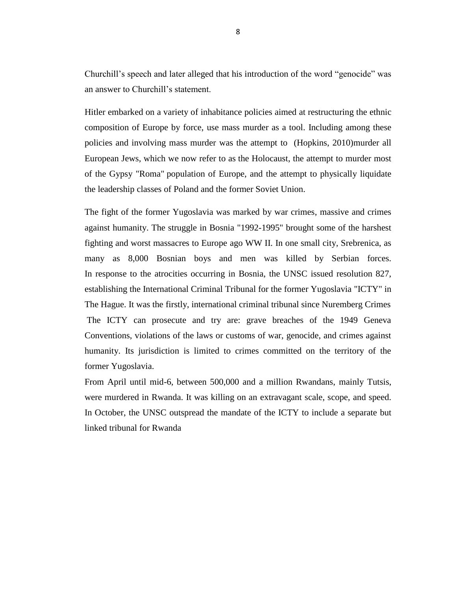Churchill's speech and later alleged that his introduction of the word "genocide" was an answer to Churchill's statement.

Hitler embarked on a variety of inhabitance policies aimed at restructuring the ethnic composition of Europe by force, use mass murder as a tool. Including among these policies and involving mass murder was the attempt to (Hopkins, 2010)murder all European Jews, which we now refer to as [the Holocaust,](http://www.ushmm.org/wlc/en/article.php?ModuleId=10005143) the attempt to murder most of the [Gypsy "Roma"](http://www.ushmm.org/wlc/en/article.php?ModuleId=10005219) population of Europe, and the attempt to physically liquidate the leadership classes of Poland and the former Soviet Union.

The fight of the former Yugoslavia was marked by war crimes, massive and crimes against humanity. The struggle in Bosnia "1992-1995" brought some of the harshest fighting and worst massacres to Europe ago WW II. In one small city, Srebrenica, as many as 8,000 Bosnian boys and men was killed by Serbian forces. In response to the atrocities occurring in Bosnia, the UNSC issued resolution 827, establishing the International Criminal Tribunal for the former Yugoslavia "ICTY" in The Hague. It was the firstly, international criminal tribunal since Nuremberg Crimes The ICTY can prosecute and try are: grave breaches of the 1949 Geneva Conventions, violations of the laws or customs of war, genocide, and crimes against humanity. Its jurisdiction is limited to crimes committed on the territory of the former Yugoslavia.

From April until mid-6, between 500,000 and a million Rwandans, mainly Tutsis, were murdered in Rwanda. It was killing on an extravagant scale, scope, and speed. In October, the UNSC outspread the mandate of the ICTY to include a separate but linked tribunal for Rwanda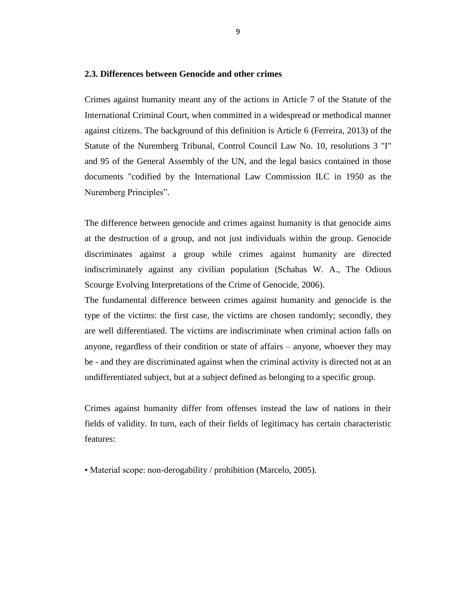#### <span id="page-18-0"></span>**2.3. Differences between Genocide and other crimes**

Crimes against humanity meant any of the actions in Article 7 of the Statute of the International Criminal Court, when committed in a widespread or methodical manner against citizens. The background of this definition is Article 6 (Ferreira, 2013) of the Statute of the Nuremberg Tribunal, Control Council Law No. 10, resolutions 3 "I" and 95 of the General Assembly of the UN, and the legal basics contained in those documents "codified by the International Law Commission ILC in 1950 as the Nuremberg Principles".

The difference between genocide and crimes against humanity is that genocide aims at the destruction of a group, and not just individuals within the group. Genocide discriminates against a group while crimes against humanity are directed indiscriminately against any civilian population (Schabas W. A., The Odious Scourge Evolving Interpretations of the Crime of Genocide, 2006).

The fundamental difference between crimes against humanity and genocide is the type of the victims: the first case, the victims are chosen randomly; secondly, they are well differentiated. The victims are indiscriminate when criminal action falls on anyone, regardless of their condition or state of affairs – anyone, whoever they may be - and they are discriminated against when the criminal activity is directed not at an undifferentiated subject, but at a subject defined as belonging to a specific group.

Crimes against humanity differ from offenses instead the law of nations in their fields of validity. In turn, each of their fields of legitimacy has certain characteristic features:

• Material scope: non-derogability / prohibition (Marcelo, 2005).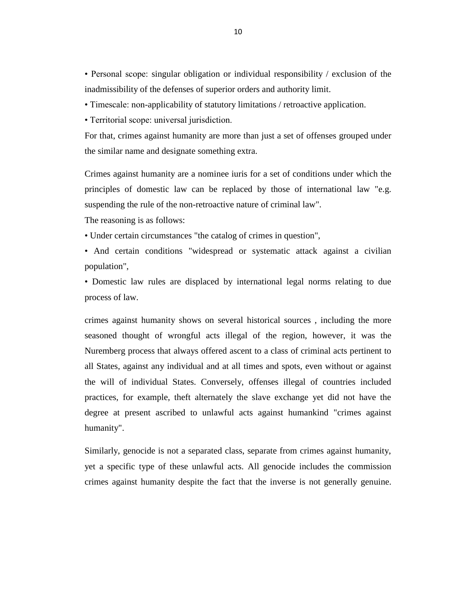• Personal scope: singular obligation or individual responsibility / exclusion of the inadmissibility of the defenses of superior orders and authority limit.

- Timescale: non-applicability of statutory limitations / retroactive application.
- Territorial scope: universal jurisdiction.

For that, crimes against humanity are more than just a set of offenses grouped under the similar name and designate something extra.

Crimes against humanity are a nominee iuris for a set of conditions under which the principles of domestic law can be replaced by those of international law "e.g. suspending the rule of the non-retroactive nature of criminal law".

The reasoning is as follows:

- Under certain circumstances "the catalog of crimes in question",
- And certain conditions "widespread or systematic attack against a civilian population",

• Domestic law rules are displaced by international legal norms relating to due process of law.

crimes against humanity shows on several historical sources , including the more seasoned thought of wrongful acts illegal of the region, however, it was the Nuremberg process that always offered ascent to a class of criminal acts pertinent to all States, against any individual and at all times and spots, even without or against the will of individual States. Conversely, offenses illegal of countries included practices, for example, theft alternately the slave exchange yet did not have the degree at present ascribed to unlawful acts against humankind "crimes against humanity".

Similarly, genocide is not a separated class, separate from crimes against humanity, yet a specific type of these unlawful acts. All genocide includes the commission crimes against humanity despite the fact that the inverse is not generally genuine.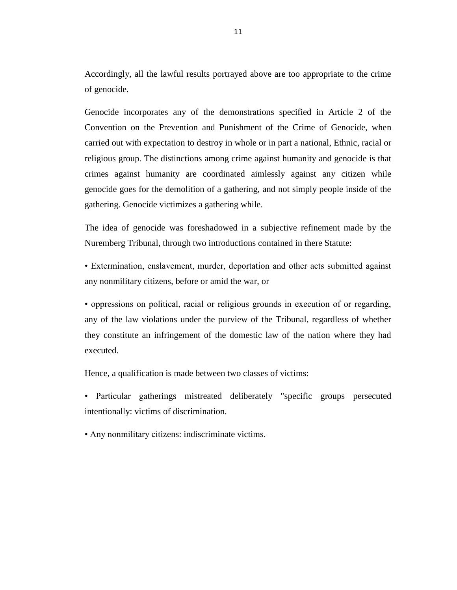Accordingly, all the lawful results portrayed above are too appropriate to the crime of genocide.

Genocide incorporates any of the demonstrations specified in Article 2 of the Convention on the Prevention and Punishment of the Crime of Genocide, when carried out with expectation to destroy in whole or in part a national, Ethnic, racial or religious group. The distinctions among crime against humanity and genocide is that crimes against humanity are coordinated aimlessly against any citizen while genocide goes for the demolition of a gathering, and not simply people inside of the gathering. Genocide victimizes a gathering while.

The idea of genocide was foreshadowed in a subjective refinement made by the Nuremberg Tribunal, through two introductions contained in there Statute:

• Extermination, enslavement, murder, deportation and other acts submitted against any nonmilitary citizens, before or amid the war, or

• oppressions on political, racial or religious grounds in execution of or regarding, any of the law violations under the purview of the Tribunal, regardless of whether they constitute an infringement of the domestic law of the nation where they had executed.

Hence, a qualification is made between two classes of victims:

• Particular gatherings mistreated deliberately "specific groups persecuted intentionally: victims of discrimination.

• Any nonmilitary citizens: indiscriminate victims.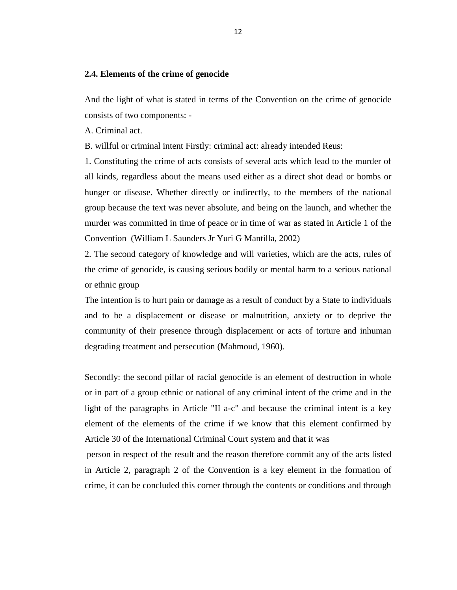#### <span id="page-21-0"></span>**2.4. Elements of the crime of genocide**

And the light of what is stated in terms of the Convention on the crime of genocide consists of two components: -

A. Criminal act.

B. willful or criminal intent Firstly: criminal act: already intended Reus:

1. Constituting the crime of acts consists of several acts which lead to the murder of all kinds, regardless about the means used either as a direct shot dead or bombs or hunger or disease. Whether directly or indirectly, to the members of the national group because the text was never absolute, and being on the launch, and whether the murder was committed in time of peace or in time of war as stated in Article 1 of the Convention (William L Saunders Jr Yuri G Mantilla, 2002)

2. The second category of knowledge and will varieties, which are the acts, rules of the crime of genocide, is causing serious bodily or mental harm to a serious national or ethnic group

The intention is to hurt pain or damage as a result of conduct by a State to individuals and to be a displacement or disease or malnutrition, anxiety or to deprive the community of their presence through displacement or acts of torture and inhuman degrading treatment and persecution (Mahmoud, 1960).

Secondly: the second pillar of racial genocide is an element of destruction in whole or in part of a group ethnic or national of any criminal intent of the crime and in the light of the paragraphs in Article "II a-c" and because the criminal intent is a key element of the elements of the crime if we know that this element confirmed by Article 30 of the International Criminal Court system and that it was

person in respect of the result and the reason therefore commit any of the acts listed in Article 2, paragraph 2 of the Convention is a key element in the formation of crime, it can be concluded this corner through the contents or conditions and through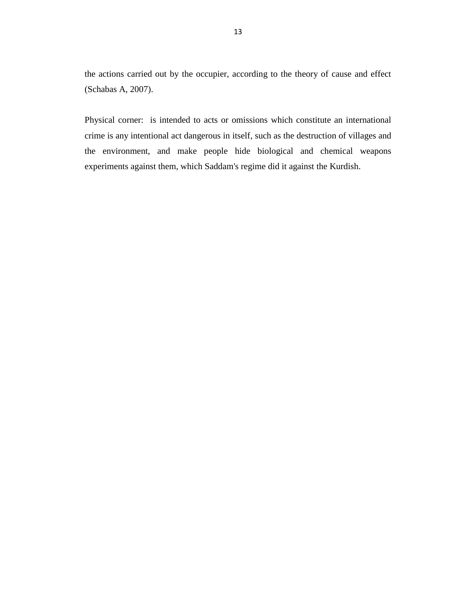the actions carried out by the occupier, according to the theory of cause and effect (Schabas A, 2007).

Physical corner: is intended to acts or omissions which constitute an international crime is any intentional act dangerous in itself, such as the destruction of villages and the environment, and make people hide biological and chemical weapons experiments against them, which Saddam's regime did it against the Kurdish.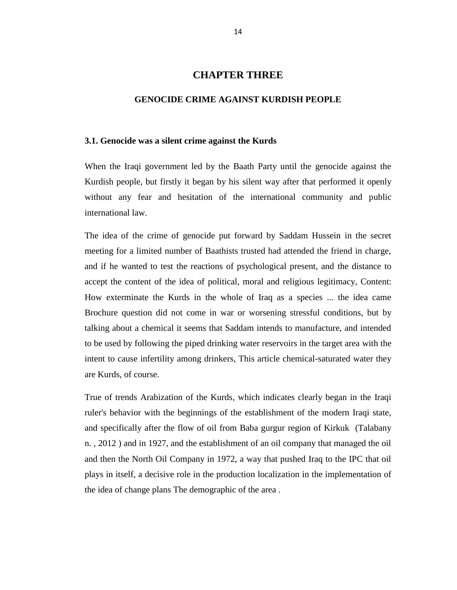### **CHAPTER THREE**

#### <span id="page-23-0"></span>**GENOCIDE CRIME AGAINST KURDISH PEOPLE**

#### <span id="page-23-2"></span><span id="page-23-1"></span>**3.1. Genocide was a silent crime against the Kurds**

When the Iraqi government led by the Baath Party until the genocide against the Kurdish people, but firstly it began by his silent way after that performed it openly without any fear and hesitation of the international community and public international law.

The idea of the crime of genocide put forward by Saddam Hussein in the secret meeting for a limited number of Baathists trusted had attended the friend in charge, and if he wanted to test the reactions of psychological present, and the distance to accept the content of the idea of political, moral and religious legitimacy, Content: How exterminate the Kurds in the whole of Iraq as a species ... the idea came Brochure question did not come in war or worsening stressful conditions, but by talking about a chemical it seems that Saddam intends to manufacture, and intended to be used by following the piped drinking water reservoirs in the target area with the intent to cause infertility among drinkers, This article chemical-saturated water they are Kurds, of course.

True of trends Arabization of the Kurds, which indicates clearly began in the Iraqi ruler's behavior with the beginnings of the establishment of the modern Iraqi state, and specifically after the flow of oil from Baba gurgur region of Kirkuk (Talabany n. , 2012 ) and in 1927, and the establishment of an oil company that managed the oil and then the North Oil Company in 1972, a way that pushed Iraq to the IPC that oil plays in itself, a decisive role in the production localization in the implementation of the idea of change plans The demographic of the area .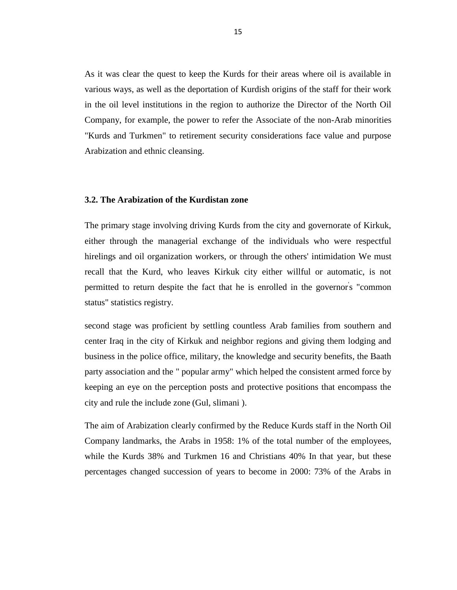As it was clear the quest to keep the Kurds for their areas where oil is available in various ways, as well as the deportation of Kurdish origins of the staff for their work in the oil level institutions in the region to authorize the Director of the North Oil Company, for example, the power to refer the Associate of the non-Arab minorities "Kurds and Turkmen" to retirement security considerations face value and purpose Arabization and ethnic cleansing.

#### <span id="page-24-0"></span>**3.2. The Arabization of the Kurdistan zone**

The primary stage involving driving Kurds from the city and governorate of Kirkuk, either through the managerial exchange of the individuals who were respectful hirelings and oil organization workers, or through the others' intimidation We must recall that the Kurd, who leaves Kirkuk city either willful or automatic, is not permitted to return despite the fact that he is enrolled in the governor's "common status" statistics registry.

second stage was proficient by settling countless Arab families from southern and center Iraq in the city of Kirkuk and neighbor regions and giving them lodging and business in the police office, military, the knowledge and security benefits, the Baath party association and the " popular army" which helped the consistent armed force by keeping an eye on the perception posts and protective positions that encompass the city and rule the include zone (Gul, slimani ).

The aim of Arabization clearly confirmed by the Reduce Kurds staff in the North Oil Company landmarks, the Arabs in 1958: 1% of the total number of the employees, while the Kurds 38% and Turkmen 16 and Christians 40% In that year, but these percentages changed succession of years to become in 2000: 73% of the Arabs in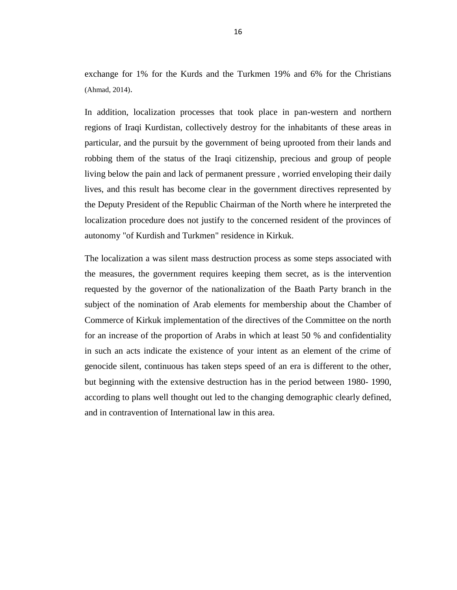exchange for 1% for the Kurds and the Turkmen 19% and 6% for the Christians (Ahmad, 2014).

In addition, localization processes that took place in pan-western and northern regions of Iraqi Kurdistan, collectively destroy for the inhabitants of these areas in particular, and the pursuit by the government of being uprooted from their lands and robbing them of the status of the Iraqi citizenship, precious and group of people living below the pain and lack of permanent pressure , worried enveloping their daily lives, and this result has become clear in the government directives represented by the Deputy President of the Republic Chairman of the North where he interpreted the localization procedure does not justify to the concerned resident of the provinces of autonomy "of Kurdish and Turkmen" residence in Kirkuk.

The localization a was silent mass destruction process as some steps associated with the measures, the government requires keeping them secret, as is the intervention requested by the governor of the nationalization of the Baath Party branch in the subject of the nomination of Arab elements for membership about the Chamber of Commerce of Kirkuk implementation of the directives of the Committee on the north for an increase of the proportion of Arabs in which at least 50 % and confidentiality in such an acts indicate the existence of your intent as an element of the crime of genocide silent, continuous has taken steps speed of an era is different to the other, but beginning with the extensive destruction has in the period between 1980- 1990, according to plans well thought out led to the changing demographic clearly defined, and in contravention of International law in this area.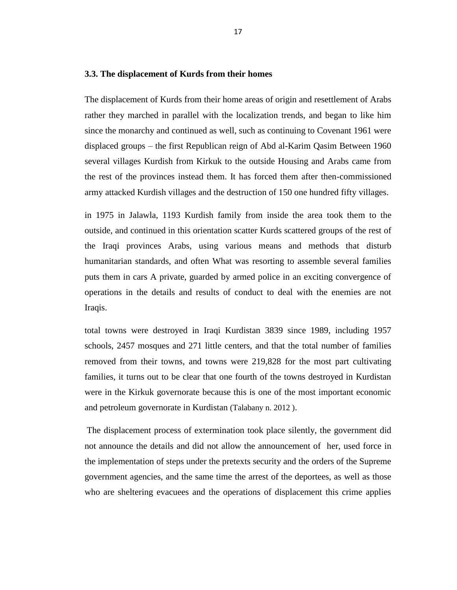#### <span id="page-26-0"></span>**3.3. The displacement of Kurds from their homes**

The displacement of Kurds from their home areas of origin and resettlement of Arabs rather they marched in parallel with the localization trends, and began to like him since the monarchy and continued as well, such as continuing to Covenant 1961 were displaced groups – the first Republican reign of Abd al-Karim Qasim Between 1960 several villages Kurdish from Kirkuk to the outside Housing and Arabs came from the rest of the provinces instead them. It has forced them after then-commissioned army attacked Kurdish villages and the destruction of 150 one hundred fifty villages.

in 1975 in Jalawla, 1193 Kurdish family from inside the area took them to the outside, and continued in this orientation scatter Kurds scattered groups of the rest of the Iraqi provinces Arabs, using various means and methods that disturb humanitarian standards, and often What was resorting to assemble several families puts them in cars A private, guarded by armed police in an exciting convergence of operations in the details and results of conduct to deal with the enemies are not Iraqis.

total towns were destroyed in Iraqi Kurdistan 3839 since 1989, including 1957 schools, 2457 mosques and 271 little centers, and that the total number of families removed from their towns, and towns were 219,828 for the most part cultivating families, it turns out to be clear that one fourth of the towns destroyed in Kurdistan were in the Kirkuk governorate because this is one of the most important economic and petroleum governorate in Kurdistan (Talabany n. 2012 ).

The displacement process of extermination took place silently, the government did not announce the details and did not allow the announcement of her, used force in the implementation of steps under the pretexts security and the orders of the Supreme government agencies, and the same time the arrest of the deportees, as well as those who are sheltering evacuees and the operations of displacement this crime applies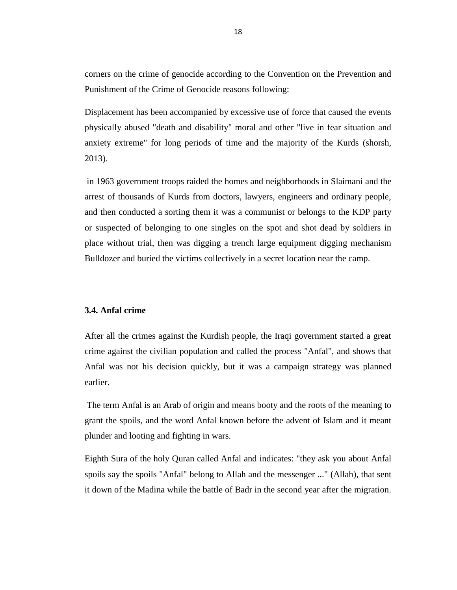corners on the crime of genocide according to the Convention on the Prevention and Punishment of the Crime of Genocide reasons following:

Displacement has been accompanied by excessive use of force that caused the events physically abused "death and disability" moral and other "live in fear situation and anxiety extreme" for long periods of time and the majority of the Kurds (shorsh, 2013).

in 1963 government troops raided the homes and neighborhoods in Slaimani and the arrest of thousands of Kurds from doctors, lawyers, engineers and ordinary people, and then conducted a sorting them it was a communist or belongs to the KDP party or suspected of belonging to one singles on the spot and shot dead by soldiers in place without trial, then was digging a trench large equipment digging mechanism Bulldozer and buried the victims collectively in a secret location near the camp.

#### <span id="page-27-0"></span>**3.4. Anfal crime**

After all the crimes against the Kurdish people, the Iraqi government started a great crime against the civilian population and called the process "Anfal", and shows that Anfal was not his decision quickly, but it was a campaign strategy was planned earlier.

The term Anfal is an Arab of origin and means booty and the roots of the meaning to grant the spoils, and the word Anfal known before the advent of Islam and it meant plunder and looting and fighting in wars.

Eighth Sura of the holy Quran called Anfal and indicates: "they ask you about Anfal spoils say the spoils "Anfal" belong to Allah and the messenger ..." (Allah), that sent it down of the Madina while the battle of Badr in the second year after the migration.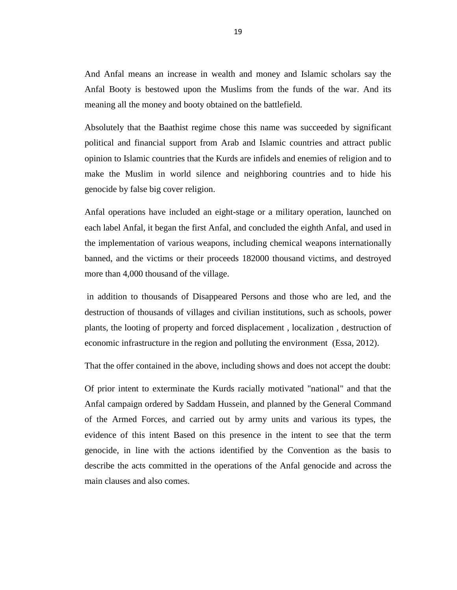And Anfal means an increase in wealth and money and Islamic scholars say the Anfal Booty is bestowed upon the Muslims from the funds of the war. And its meaning all the money and booty obtained on the battlefield.

Absolutely that the Baathist regime chose this name was succeeded by significant political and financial support from Arab and Islamic countries and attract public opinion to Islamic countries that the Kurds are infidels and enemies of religion and to make the Muslim in world silence and neighboring countries and to hide his genocide by false big cover religion.

Anfal operations have included an eight-stage or a military operation, launched on each label Anfal, it began the first Anfal, and concluded the eighth Anfal, and used in the implementation of various weapons, including chemical weapons internationally banned, and the victims or their proceeds 182000 thousand victims, and destroyed more than 4,000 thousand of the village.

in addition to thousands of Disappeared Persons and those who are led, and the destruction of thousands of villages and civilian institutions, such as schools, power plants, the looting of property and forced displacement , localization , destruction of economic infrastructure in the region and polluting the environment (Essa, 2012).

That the offer contained in the above, including shows and does not accept the doubt:

Of prior intent to exterminate the Kurds racially motivated "national" and that the Anfal campaign ordered by Saddam Hussein, and planned by the General Command of the Armed Forces, and carried out by army units and various its types, the evidence of this intent Based on this presence in the intent to see that the term genocide, in line with the actions identified by the Convention as the basis to describe the acts committed in the operations of the Anfal genocide and across the main clauses and also comes.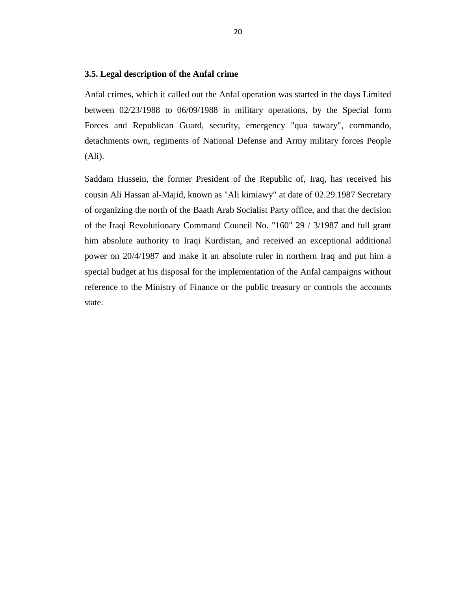#### <span id="page-29-0"></span>**3.5. Legal description of the Anfal crime**

Anfal crimes, which it called out the Anfal operation was started in the days Limited between 02/23/1988 to 06/09/1988 in military operations, by the Special form Forces and Republican Guard, security, emergency "qua tawary", commando, detachments own, regiments of National Defense and Army military forces People (Ali).

Saddam Hussein, the former President of the Republic of, Iraq, has received his cousin Ali Hassan al-Majid, known as "Ali kimiawy" at date of 02.29.1987 Secretary of organizing the north of the Baath Arab Socialist Party office, and that the decision of the Iraqi Revolutionary Command Council No. "160" 29 / 3/1987 and full grant him absolute authority to Iraqi Kurdistan, and received an exceptional additional power on 20/4/1987 and make it an absolute ruler in northern Iraq and put him a special budget at his disposal for the implementation of the Anfal campaigns without reference to the Ministry of Finance or the public treasury or controls the accounts state.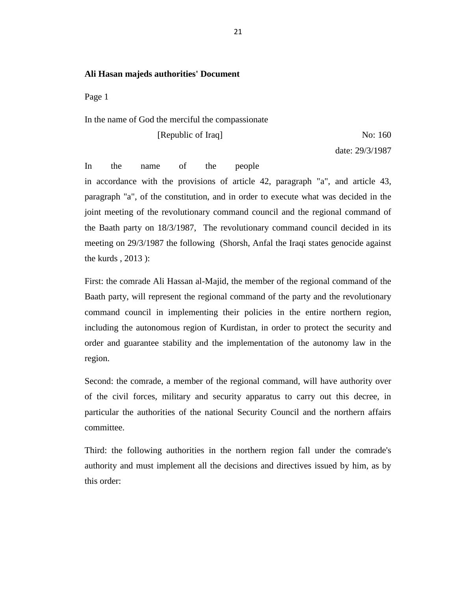#### **Ali Hasan majeds authorities' Document**

Page 1

#### In the name of God the merciful the compassionate

[Republic of Iraq] No: 160

date: 29/3/1987

In the name of the people in accordance with the provisions of article 42, paragraph "a", and article 43, paragraph "a", of the constitution, and in order to execute what was decided in the joint meeting of the revolutionary command council and the regional command of the Baath party on 18/3/1987, The revolutionary command council decided in its meeting on 29/3/1987 the following (Shorsh, Anfal the Iraqi states genocide against the kurds , 2013 ):

First: the comrade Ali Hassan al-Majid, the member of the regional command of the Baath party, will represent the regional command of the party and the revolutionary command council in implementing their policies in the entire northern region, including the autonomous region of Kurdistan, in order to protect the security and order and guarantee stability and the implementation of the autonomy law in the region.

Second: the comrade, a member of the regional command, will have authority over of the civil forces, military and security apparatus to carry out this decree, in particular the authorities of the national Security Council and the northern affairs committee.

Third: the following authorities in the northern region fall under the comrade's authority and must implement all the decisions and directives issued by him, as by this order: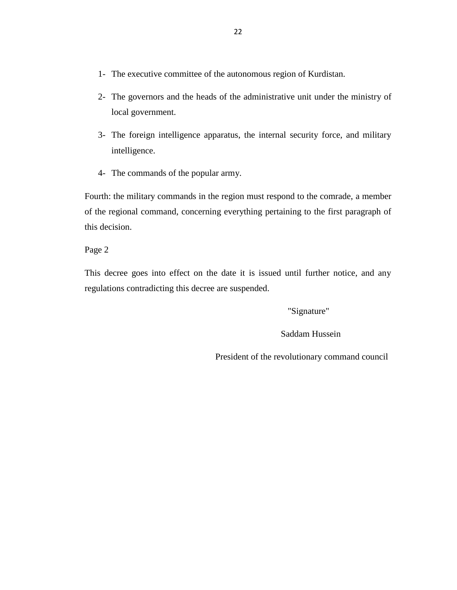- 1- The executive committee of the autonomous region of Kurdistan.
- 2- The governors and the heads of the administrative unit under the ministry of local government.
- 3- The foreign intelligence apparatus, the internal security force, and military intelligence.
- 4- The commands of the popular army.

Fourth: the military commands in the region must respond to the comrade, a member of the regional command, concerning everything pertaining to the first paragraph of this decision.

Page 2

This decree goes into effect on the date it is issued until further notice, and any regulations contradicting this decree are suspended.

"Signature"

Saddam Hussein

President of the revolutionary command council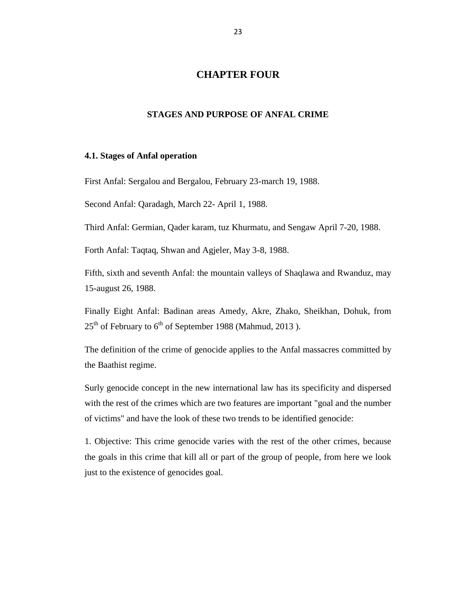# **CHAPTER FOUR**

#### <span id="page-32-0"></span>**STAGES AND PURPOSE OF ANFAL CRIME**

#### <span id="page-32-2"></span><span id="page-32-1"></span>**4.1. Stages of Anfal operation**

First Anfal: Sergalou and Bergalou, February 23-march 19, 1988.

Second Anfal: Qaradagh, March 22- April 1, 1988.

Third Anfal: Germian, Qader karam, tuz Khurmatu, and Sengaw April 7-20, 1988.

Forth Anfal: Taqtaq, Shwan and Agjeler, May 3-8, 1988.

Fifth, sixth and seventh Anfal: the mountain valleys of Shaqlawa and Rwanduz, may 15-august 26, 1988.

Finally Eight Anfal: Badinan areas Amedy, Akre, Zhako, Sheikhan, Dohuk, from  $25<sup>th</sup>$  of February to 6<sup>th</sup> of September 1988 (Mahmud, 2013).

The definition of the crime of genocide applies to the Anfal massacres committed by the Baathist regime.

Surly genocide concept in the new international law has its specificity and dispersed with the rest of the crimes which are two features are important "goal and the number of victims" and have the look of these two trends to be identified genocide:

1. Objective: This crime genocide varies with the rest of the other crimes, because the goals in this crime that kill all or part of the group of people, from here we look just to the existence of genocides goal.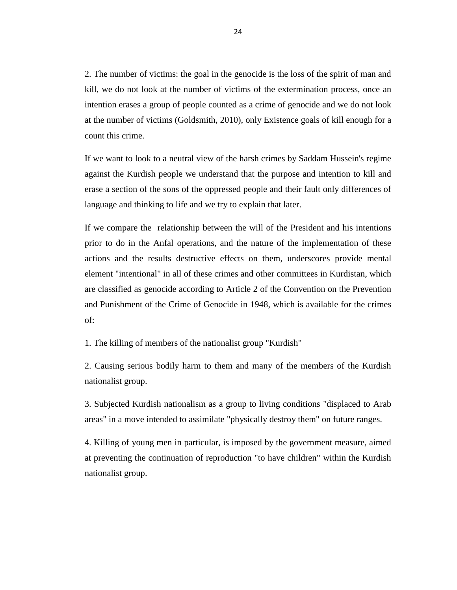2. The number of victims: the goal in the genocide is the loss of the spirit of man and kill, we do not look at the number of victims of the extermination process, once an intention erases a group of people counted as a crime of genocide and we do not look at the number of victims (Goldsmith, 2010), only Existence goals of kill enough for a count this crime.

If we want to look to a neutral view of the harsh crimes by Saddam Hussein's regime against the Kurdish people we understand that the purpose and intention to kill and erase a section of the sons of the oppressed people and their fault only differences of language and thinking to life and we try to explain that later.

If we compare the relationship between the will of the President and his intentions prior to do in the Anfal operations, and the nature of the implementation of these actions and the results destructive effects on them, underscores provide mental element "intentional" in all of these crimes and other committees in Kurdistan, which are classified as genocide according to Article 2 of the Convention on the Prevention and Punishment of the Crime of Genocide in 1948, which is available for the crimes of:

1. The killing of members of the nationalist group "Kurdish"

2. Causing serious bodily harm to them and many of the members of the Kurdish nationalist group.

3. Subjected Kurdish nationalism as a group to living conditions "displaced to Arab areas" in a move intended to assimilate "physically destroy them" on future ranges.

4. Killing of young men in particular, is imposed by the government measure, aimed at preventing the continuation of reproduction "to have children" within the Kurdish nationalist group.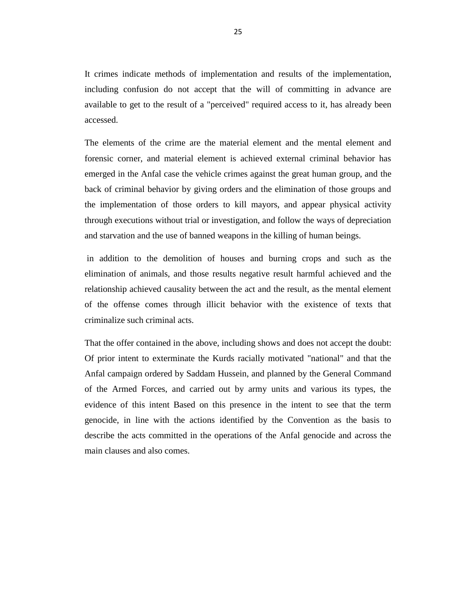It crimes indicate methods of implementation and results of the implementation, including confusion do not accept that the will of committing in advance are available to get to the result of a "perceived" required access to it, has already been accessed.

The elements of the crime are the material element and the mental element and forensic corner, and material element is achieved external criminal behavior has emerged in the Anfal case the vehicle crimes against the great human group, and the back of criminal behavior by giving orders and the elimination of those groups and the implementation of those orders to kill mayors, and appear physical activity through executions without trial or investigation, and follow the ways of depreciation and starvation and the use of banned weapons in the killing of human beings.

in addition to the demolition of houses and burning crops and such as the elimination of animals, and those results negative result harmful achieved and the relationship achieved causality between the act and the result, as the mental element of the offense comes through illicit behavior with the existence of texts that criminalize such criminal acts.

That the offer contained in the above, including shows and does not accept the doubt: Of prior intent to exterminate the Kurds racially motivated "national" and that the Anfal campaign ordered by Saddam Hussein, and planned by the General Command of the Armed Forces, and carried out by army units and various its types, the evidence of this intent Based on this presence in the intent to see that the term genocide, in line with the actions identified by the Convention as the basis to describe the acts committed in the operations of the Anfal genocide and across the main clauses and also comes.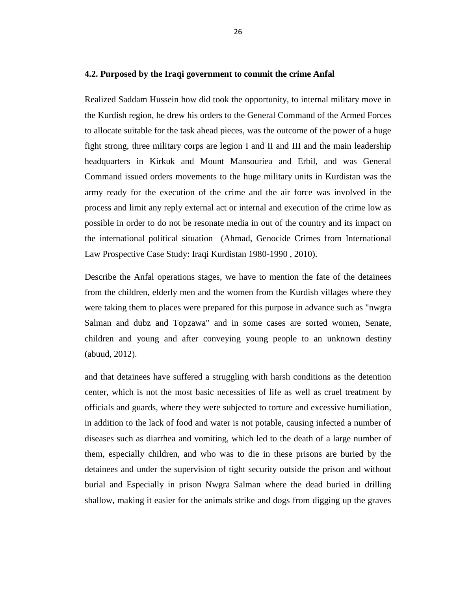#### <span id="page-35-0"></span>**4.2. Purposed by the Iraqi government to commit the crime Anfal**

Realized Saddam Hussein how did took the opportunity, to internal military move in the Kurdish region, he drew his orders to the General Command of the Armed Forces to allocate suitable for the task ahead pieces, was the outcome of the power of a huge fight strong, three military corps are legion I and II and III and the main leadership headquarters in Kirkuk and Mount Mansouriea and Erbil, and was General Command issued orders movements to the huge military units in Kurdistan was the army ready for the execution of the crime and the air force was involved in the process and limit any reply external act or internal and execution of the crime low as possible in order to do not be resonate media in out of the country and its impact on the international political situation (Ahmad, Genocide Crimes from International Law Prospective Case Study: Iraqi Kurdistan 1980-1990 , 2010).

Describe the Anfal operations stages, we have to mention the fate of the detainees from the children, elderly men and the women from the Kurdish villages where they were taking them to places were prepared for this purpose in advance such as "nwgra Salman and dubz and Topzawa" and in some cases are sorted women, Senate, children and young and after conveying young people to an unknown destiny (abuud, 2012).

and that detainees have suffered a struggling with harsh conditions as the detention center, which is not the most basic necessities of life as well as cruel treatment by officials and guards, where they were subjected to torture and excessive humiliation, in addition to the lack of food and water is not potable, causing infected a number of diseases such as diarrhea and vomiting, which led to the death of a large number of them, especially children, and who was to die in these prisons are buried by the detainees and under the supervision of tight security outside the prison and without burial and Especially in prison Nwgra Salman where the dead buried in drilling shallow, making it easier for the animals strike and dogs from digging up the graves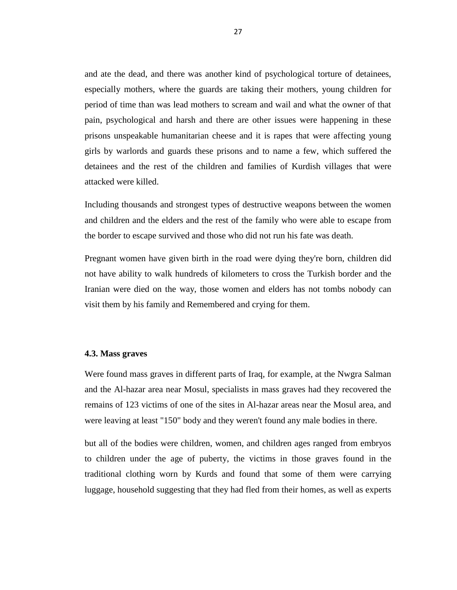and ate the dead, and there was another kind of psychological torture of detainees, especially mothers, where the guards are taking their mothers, young children for period of time than was lead mothers to scream and wail and what the owner of that pain, psychological and harsh and there are other issues were happening in these prisons unspeakable humanitarian cheese and it is rapes that were affecting young girls by warlords and guards these prisons and to name a few, which suffered the detainees and the rest of the children and families of Kurdish villages that were attacked were killed.

Including thousands and strongest types of destructive weapons between the women and children and the elders and the rest of the family who were able to escape from the border to escape survived and those who did not run his fate was death.

Pregnant women have given birth in the road were dying they're born, children did not have ability to walk hundreds of kilometers to cross the Turkish border and the Iranian were died on the way, those women and elders has not tombs nobody can visit them by his family and Remembered and crying for them.

#### <span id="page-36-0"></span>**4.3. Mass graves**

Were found mass graves in different parts of Iraq, for example, at the Nwgra Salman and the Al-hazar area near Mosul, specialists in mass graves had they recovered the remains of 123 victims of one of the sites in Al-hazar areas near the Mosul area, and were leaving at least "150" body and they weren't found any male bodies in there.

but all of the bodies were children, women, and children ages ranged from embryos to children under the age of puberty, the victims in those graves found in the traditional clothing worn by Kurds and found that some of them were carrying luggage, household suggesting that they had fled from their homes, as well as experts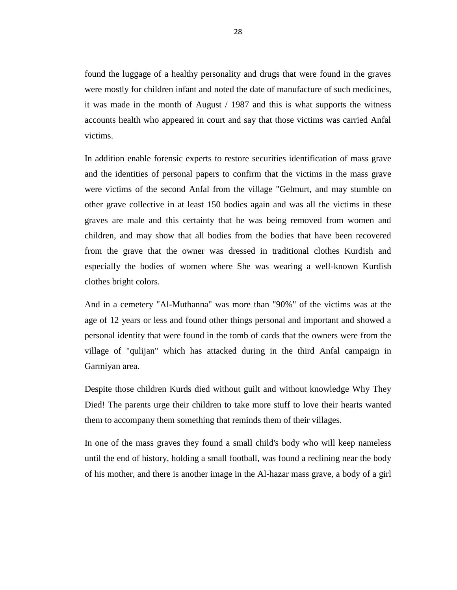found the luggage of a healthy personality and drugs that were found in the graves were mostly for children infant and noted the date of manufacture of such medicines, it was made in the month of August / 1987 and this is what supports the witness accounts health who appeared in court and say that those victims was carried Anfal victims.

In addition enable forensic experts to restore securities identification of mass grave and the identities of personal papers to confirm that the victims in the mass grave were victims of the second Anfal from the village "Gelmurt, and may stumble on other grave collective in at least 150 bodies again and was all the victims in these graves are male and this certainty that he was being removed from women and children, and may show that all bodies from the bodies that have been recovered from the grave that the owner was dressed in traditional clothes Kurdish and especially the bodies of women where She was wearing a well-known Kurdish clothes bright colors.

And in a cemetery "Al-Muthanna" was more than "90%" of the victims was at the age of 12 years or less and found other things personal and important and showed a personal identity that were found in the tomb of cards that the owners were from the village of "qulijan" which has attacked during in the third Anfal campaign in Garmiyan area.

Despite those children Kurds died without guilt and without knowledge Why They Died! The parents urge their children to take more stuff to love their hearts wanted them to accompany them something that reminds them of their villages.

In one of the mass graves they found a small child's body who will keep nameless until the end of history, holding a small football, was found a reclining near the body of his mother, and there is another image in the Al-hazar mass grave, a body of a girl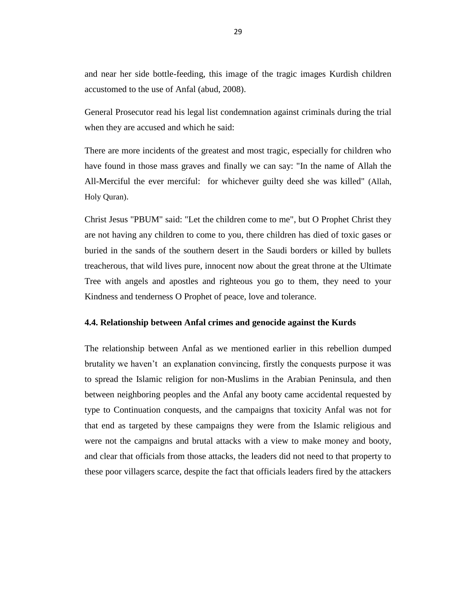and near her side bottle-feeding, this image of the tragic images Kurdish children accustomed to the use of Anfal (abud, 2008).

General Prosecutor read his legal list condemnation against criminals during the trial when they are accused and which he said:

There are more incidents of the greatest and most tragic, especially for children who have found in those mass graves and finally we can say: "In the name of Allah the All-Merciful the ever merciful: for whichever guilty deed she was killed" (Allah, Holy Quran).

Christ Jesus "PBUM" said: "Let the children come to me", but O Prophet Christ they are not having any children to come to you, there children has died of toxic gases or buried in the sands of the southern desert in the Saudi borders or killed by bullets treacherous, that wild lives pure, innocent now about the great throne at the Ultimate Tree with angels and apostles and righteous you go to them, they need to your Kindness and tenderness O Prophet of peace, love and tolerance.

#### <span id="page-38-0"></span>**4.4. Relationship between Anfal crimes and genocide against the Kurds**

The relationship between Anfal as we mentioned earlier in this rebellion dumped brutality we haven't an explanation convincing, firstly the conquests purpose it was to spread the Islamic religion for non-Muslims in the Arabian Peninsula, and then between neighboring peoples and the Anfal any booty came accidental requested by type to Continuation conquests, and the campaigns that toxicity Anfal was not for that end as targeted by these campaigns they were from the Islamic religious and were not the campaigns and brutal attacks with a view to make money and booty, and clear that officials from those attacks, the leaders did not need to that property to these poor villagers scarce, despite the fact that officials leaders fired by the attackers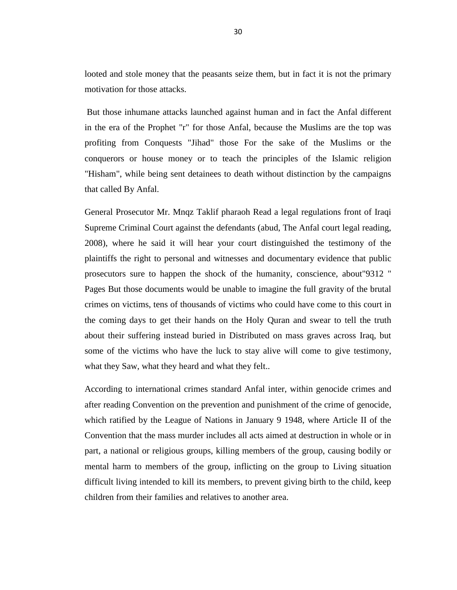looted and stole money that the peasants seize them, but in fact it is not the primary motivation for those attacks.

But those inhumane attacks launched against human and in fact the Anfal different in the era of the Prophet "r" for those Anfal, because the Muslims are the top was profiting from Conquests "Jihad" those For the sake of the Muslims or the conquerors or house money or to teach the principles of the Islamic religion "Hisham", while being sent detainees to death without distinction by the campaigns that called By Anfal.

General Prosecutor Mr. Mnqz Taklif pharaoh Read a legal regulations front of Iraqi Supreme Criminal Court against the defendants (abud, The Anfal court legal reading, 2008), where he said it will hear your court distinguished the testimony of the plaintiffs the right to personal and witnesses and documentary evidence that public prosecutors sure to happen the shock of the humanity, conscience, about"9312 " Pages But those documents would be unable to imagine the full gravity of the brutal crimes on victims, tens of thousands of victims who could have come to this court in the coming days to get their hands on the Holy Quran and swear to tell the truth about their suffering instead buried in Distributed on mass graves across Iraq, but some of the victims who have the luck to stay alive will come to give testimony, what they Saw, what they heard and what they felt..

According to international crimes standard Anfal inter, within genocide crimes and after reading Convention on the prevention and punishment of the crime of genocide, which ratified by the League of Nations in January 9 1948, where Article II of the Convention that the mass murder includes all acts aimed at destruction in whole or in part, a national or religious groups, killing members of the group, causing bodily or mental harm to members of the group, inflicting on the group to Living situation difficult living intended to kill its members, to prevent giving birth to the child, keep children from their families and relatives to another area.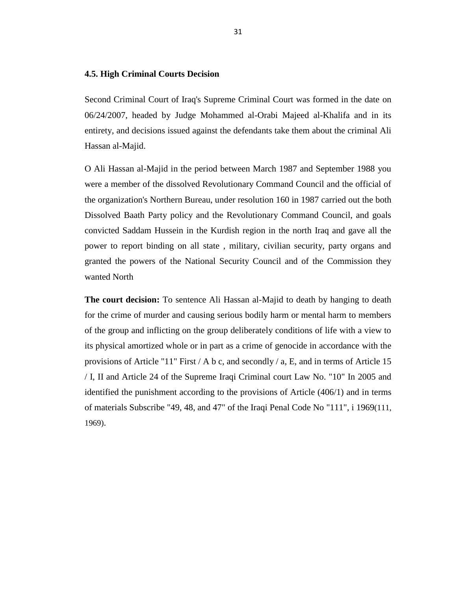#### <span id="page-40-0"></span>**4.5. High Criminal Courts Decision**

Second Criminal Court of Iraq's Supreme Criminal Court was formed in the date on 06/24/2007, headed by Judge Mohammed al-Orabi Majeed al-Khalifa and in its entirety, and decisions issued against the defendants take them about the criminal Ali Hassan al-Majid.

O Ali Hassan al-Majid in the period between March 1987 and September 1988 you were a member of the dissolved Revolutionary Command Council and the official of the organization's Northern Bureau, under resolution 160 in 1987 carried out the both Dissolved Baath Party policy and the Revolutionary Command Council, and goals convicted Saddam Hussein in the Kurdish region in the north Iraq and gave all the power to report binding on all state , military, civilian security, party organs and granted the powers of the National Security Council and of the Commission they wanted North

**The court decision:** To sentence Ali Hassan al-Majid to death by hanging to death for the crime of murder and causing serious bodily harm or mental harm to members of the group and inflicting on the group deliberately conditions of life with a view to its physical amortized whole or in part as a crime of genocide in accordance with the provisions of Article "11" First / A b c, and secondly / a, E, and in terms of Article 15 / I, II and Article 24 of the Supreme Iraqi Criminal court Law No. "10" In 2005 and identified the punishment according to the provisions of Article (406/1) and in terms of materials Subscribe "49, 48, and 47" of the Iraqi Penal Code No "111", i 1969(111, 1969).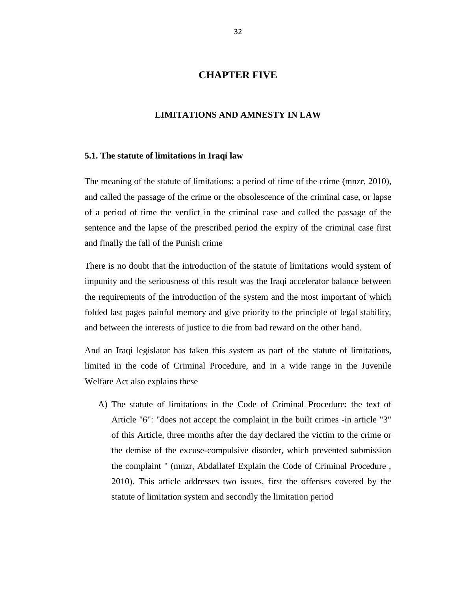# **CHAPTER FIVE**

### <span id="page-41-0"></span>**LIMITATIONS AND AMNESTY IN LAW**

#### <span id="page-41-2"></span><span id="page-41-1"></span>**5.1. The statute of limitations in Iraqi law**

The meaning of the statute of limitations: a period of time of the crime (mnzr, 2010), and called the passage of the crime or the obsolescence of the criminal case, or lapse of a period of time the verdict in the criminal case and called the passage of the sentence and the lapse of the prescribed period the expiry of the criminal case first and finally the fall of the Punish crime

There is no doubt that the introduction of the statute of limitations would system of impunity and the seriousness of this result was the Iraqi accelerator balance between the requirements of the introduction of the system and the most important of which folded last pages painful memory and give priority to the principle of legal stability, and between the interests of justice to die from bad reward on the other hand.

And an Iraqi legislator has taken this system as part of the statute of limitations, limited in the code of Criminal Procedure, and in a wide range in the Juvenile Welfare Act also explains these

A) The statute of limitations in the Code of Criminal Procedure: the text of Article "6": "does not accept the complaint in the built crimes -in article "3" of this Article, three months after the day declared the victim to the crime or the demise of the excuse-compulsive disorder, which prevented submission the complaint " (mnzr, Abdallatef Explain the Code of Criminal Procedure , 2010). This article addresses two issues, first the offenses covered by the statute of limitation system and secondly the limitation period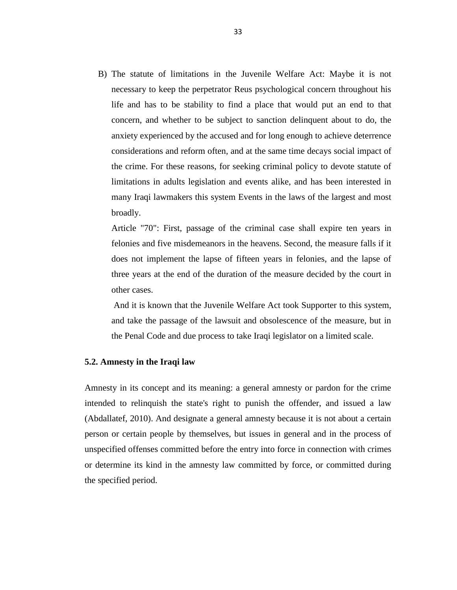B) The statute of limitations in the Juvenile Welfare Act: Maybe it is not necessary to keep the perpetrator Reus psychological concern throughout his life and has to be stability to find a place that would put an end to that concern, and whether to be subject to sanction delinquent about to do, the anxiety experienced by the accused and for long enough to achieve deterrence considerations and reform often, and at the same time decays social impact of the crime. For these reasons, for seeking criminal policy to devote statute of limitations in adults legislation and events alike, and has been interested in many Iraqi lawmakers this system Events in the laws of the largest and most broadly.

Article "70": First, passage of the criminal case shall expire ten years in felonies and five misdemeanors in the heavens. Second, the measure falls if it does not implement the lapse of fifteen years in felonies, and the lapse of three years at the end of the duration of the measure decided by the court in other cases.

And it is known that the Juvenile Welfare Act took Supporter to this system, and take the passage of the lawsuit and obsolescence of the measure, but in the Penal Code and due process to take Iraqi legislator on a limited scale.

#### <span id="page-42-0"></span>**5.2. Amnesty in the Iraqi law**

Amnesty in its concept and its meaning: a general amnesty or pardon for the crime intended to relinquish the state's right to punish the offender, and issued a law (Abdallatef, 2010). And designate a general amnesty because it is not about a certain person or certain people by themselves, but issues in general and in the process of unspecified offenses committed before the entry into force in connection with crimes or determine its kind in the amnesty law committed by force, or committed during the specified period.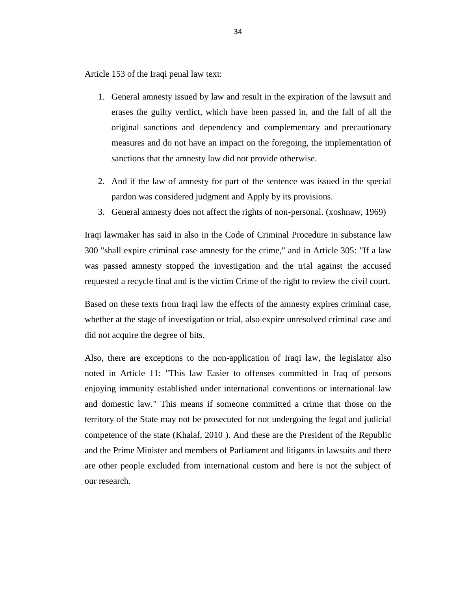Article 153 of the Iraqi penal law text:

- 1. General amnesty issued by law and result in the expiration of the lawsuit and erases the guilty verdict, which have been passed in, and the fall of all the original sanctions and dependency and complementary and precautionary measures and do not have an impact on the foregoing, the implementation of sanctions that the amnesty law did not provide otherwise.
- 2. And if the law of amnesty for part of the sentence was issued in the special pardon was considered judgment and Apply by its provisions.
- 3. General amnesty does not affect the rights of non-personal. (xoshnaw, 1969)

Iraqi lawmaker has said in also in the Code of Criminal Procedure in substance law 300 "shall expire criminal case amnesty for the crime," and in Article 305: "If a law was passed amnesty stopped the investigation and the trial against the accused requested a recycle final and is the victim Crime of the right to review the civil court.

Based on these texts from Iraqi law the effects of the amnesty expires criminal case, whether at the stage of investigation or trial, also expire unresolved criminal case and did not acquire the degree of bits.

Also, there are exceptions to the non-application of Iraqi law, the legislator also noted in Article 11: "This law Easier to offenses committed in Iraq of persons enjoying immunity established under international conventions or international law and domestic law." This means if someone committed a crime that those on the territory of the State may not be prosecuted for not undergoing the legal and judicial competence of the state (Khalaf, 2010 ). And these are the President of the Republic and the Prime Minister and members of Parliament and litigants in lawsuits and there are other people excluded from international custom and here is not the subject of our research.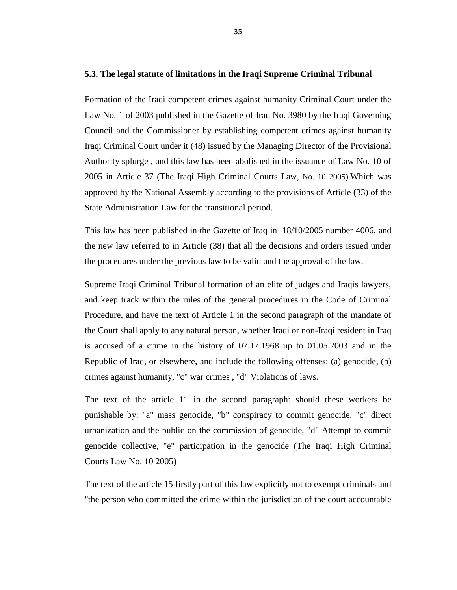#### <span id="page-44-0"></span>**5.3. The legal statute of limitations in the Iraqi Supreme Criminal Tribunal**

Formation of the Iraqi competent crimes against humanity Criminal Court under the Law No. 1 of 2003 published in the Gazette of Iraq No. 3980 by the Iraqi Governing Council and the Commissioner by establishing competent crimes against humanity Iraqi Criminal Court under it (48) issued by the Managing Director of the Provisional Authority splurge , and this law has been abolished in the issuance of Law No. 10 of 2005 in Article 37 (The Iraqi High Criminal Courts Law, No. 10 2005).Which was approved by the National Assembly according to the provisions of Article (33) of the State Administration Law for the transitional period.

This law has been published in the Gazette of Iraq in 18/10/2005 number 4006, and the new law referred to in Article (38) that all the decisions and orders issued under the procedures under the previous law to be valid and the approval of the law.

Supreme Iraqi Criminal Tribunal formation of an elite of judges and Iraqis lawyers, and keep track within the rules of the general procedures in the Code of Criminal Procedure, and have the text of Article 1 in the second paragraph of the mandate of the Court shall apply to any natural person, whether Iraqi or non-Iraqi resident in Iraq is accused of a crime in the history of 07.17.1968 up to 01.05.2003 and in the Republic of Iraq, or elsewhere, and include the following offenses: (a) genocide, (b) crimes against humanity, "c" war crimes , "d" Violations of laws.

The text of the article 11 in the second paragraph: should these workers be punishable by: "a" mass genocide, "b" conspiracy to commit genocide, "c" direct urbanization and the public on the commission of genocide, "d" Attempt to commit genocide collective, "e" participation in the genocide (The Iraqi High Criminal Courts Law No. 10 2005)

The text of the article 15 firstly part of this law explicitly not to exempt criminals and "the person who committed the crime within the jurisdiction of the court accountable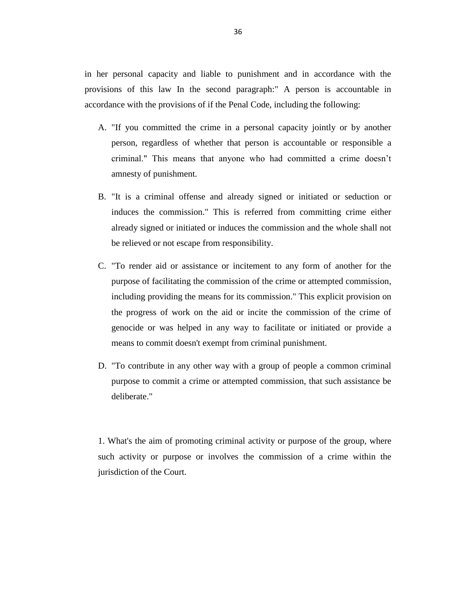in her personal capacity and liable to punishment and in accordance with the provisions of this law In the second paragraph:" A person is accountable in accordance with the provisions of if the Penal Code, including the following:

- A. "If you committed the crime in a personal capacity jointly or by another person, regardless of whether that person is accountable or responsible a criminal." This means that anyone who had committed a crime doesn't amnesty of punishment.
- B. "It is a criminal offense and already signed or initiated or seduction or induces the commission." This is referred from committing crime either already signed or initiated or induces the commission and the whole shall not be relieved or not escape from responsibility.
- C. "To render aid or assistance or incitement to any form of another for the purpose of facilitating the commission of the crime or attempted commission, including providing the means for its commission." This explicit provision on the progress of work on the aid or incite the commission of the crime of genocide or was helped in any way to facilitate or initiated or provide a means to commit doesn't exempt from criminal punishment.
- D. "To contribute in any other way with a group of people a common criminal purpose to commit a crime or attempted commission, that such assistance be deliberate."

1. What's the aim of promoting criminal activity or purpose of the group, where such activity or purpose or involves the commission of a crime within the jurisdiction of the Court.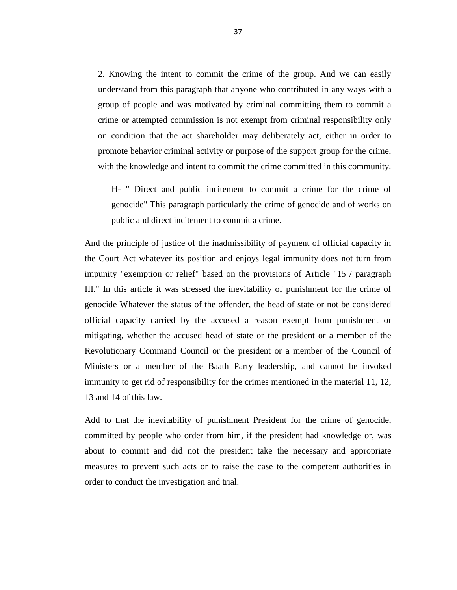2. Knowing the intent to commit the crime of the group. And we can easily understand from this paragraph that anyone who contributed in any ways with a group of people and was motivated by criminal committing them to commit a crime or attempted commission is not exempt from criminal responsibility only on condition that the act shareholder may deliberately act, either in order to promote behavior criminal activity or purpose of the support group for the crime, with the knowledge and intent to commit the crime committed in this community.

H- " Direct and public incitement to commit a crime for the crime of genocide" This paragraph particularly the crime of genocide and of works on public and direct incitement to commit a crime.

And the principle of justice of the inadmissibility of payment of official capacity in the Court Act whatever its position and enjoys legal immunity does not turn from impunity "exemption or relief" based on the provisions of Article "15 / paragraph III." In this article it was stressed the inevitability of punishment for the crime of genocide Whatever the status of the offender, the head of state or not be considered official capacity carried by the accused a reason exempt from punishment or mitigating, whether the accused head of state or the president or a member of the Revolutionary Command Council or the president or a member of the Council of Ministers or a member of the Baath Party leadership, and cannot be invoked immunity to get rid of responsibility for the crimes mentioned in the material 11, 12, 13 and 14 of this law.

Add to that the inevitability of punishment President for the crime of genocide, committed by people who order from him, if the president had knowledge or, was about to commit and did not the president take the necessary and appropriate measures to prevent such acts or to raise the case to the competent authorities in order to conduct the investigation and trial.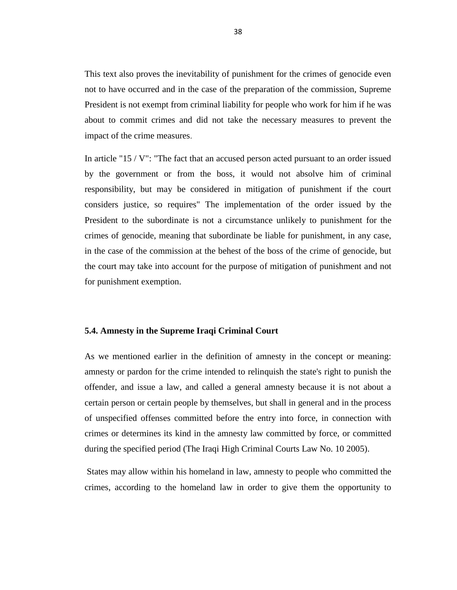This text also proves the inevitability of punishment for the crimes of genocide even not to have occurred and in the case of the preparation of the commission, Supreme President is not exempt from criminal liability for people who work for him if he was about to commit crimes and did not take the necessary measures to prevent the impact of the crime measures.

In article "15 / V": "The fact that an accused person acted pursuant to an order issued by the government or from the boss, it would not absolve him of criminal responsibility, but may be considered in mitigation of punishment if the court considers justice, so requires" The implementation of the order issued by the President to the subordinate is not a circumstance unlikely to punishment for the crimes of genocide, meaning that subordinate be liable for punishment, in any case, in the case of the commission at the behest of the boss of the crime of genocide, but the court may take into account for the purpose of mitigation of punishment and not for punishment exemption.

#### <span id="page-47-0"></span>**5.4. Amnesty in the Supreme Iraqi Criminal Court**

As we mentioned earlier in the definition of amnesty in the concept or meaning: amnesty or pardon for the crime intended to relinquish the state's right to punish the offender, and issue a law, and called a general amnesty because it is not about a certain person or certain people by themselves, but shall in general and in the process of unspecified offenses committed before the entry into force, in connection with crimes or determines its kind in the amnesty law committed by force, or committed during the specified period (The Iraqi High Criminal Courts Law No. 10 2005).

States may allow within his homeland in law, amnesty to people who committed the crimes, according to the homeland law in order to give them the opportunity to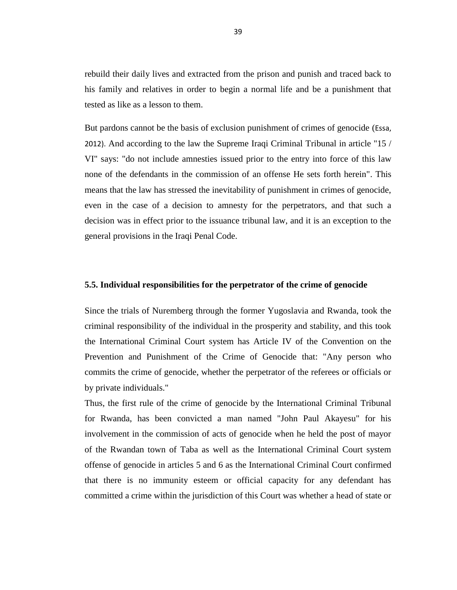rebuild their daily lives and extracted from the prison and punish and traced back to his family and relatives in order to begin a normal life and be a punishment that tested as like as a lesson to them.

But pardons cannot be the basis of exclusion punishment of crimes of genocide (Essa, 2012). And according to the law the Supreme Iraqi Criminal Tribunal in article "15 / VI" says: "do not include amnesties issued prior to the entry into force of this law none of the defendants in the commission of an offense He sets forth herein". This means that the law has stressed the inevitability of punishment in crimes of genocide, even in the case of a decision to amnesty for the perpetrators, and that such a decision was in effect prior to the issuance tribunal law, and it is an exception to the general provisions in the Iraqi Penal Code.

#### <span id="page-48-0"></span>**5.5. Individual responsibilities for the perpetrator of the crime of genocide**

Since the trials of Nuremberg through the former Yugoslavia and Rwanda, took the criminal responsibility of the individual in the prosperity and stability, and this took the International Criminal Court system has Article IV of the Convention on the Prevention and Punishment of the Crime of Genocide that: "Any person who commits the crime of genocide, whether the perpetrator of the referees or officials or by private individuals."

Thus, the first rule of the crime of genocide by the International Criminal Tribunal for Rwanda, has been convicted a man named "John Paul Akayesu" for his involvement in the commission of acts of genocide when he held the post of mayor of the Rwandan town of Taba as well as the International Criminal Court system offense of genocide in articles 5 and 6 as the International Criminal Court confirmed that there is no immunity esteem or official capacity for any defendant has committed a crime within the jurisdiction of this Court was whether a head of state or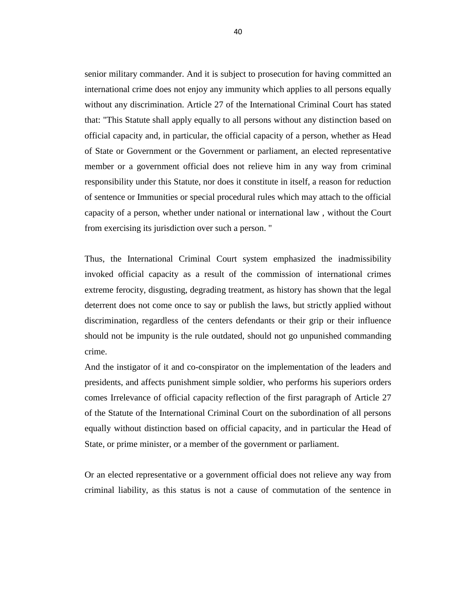senior military commander. And it is subject to prosecution for having committed an international crime does not enjoy any immunity which applies to all persons equally without any discrimination. Article 27 of the International Criminal Court has stated that: "This Statute shall apply equally to all persons without any distinction based on official capacity and, in particular, the official capacity of a person, whether as Head of State or Government or the Government or parliament, an elected representative member or a government official does not relieve him in any way from criminal responsibility under this Statute, nor does it constitute in itself, a reason for reduction of sentence or Immunities or special procedural rules which may attach to the official capacity of a person, whether under national or international law , without the Court from exercising its jurisdiction over such a person. "

Thus, the International Criminal Court system emphasized the inadmissibility invoked official capacity as a result of the commission of international crimes extreme ferocity, disgusting, degrading treatment, as history has shown that the legal deterrent does not come once to say or publish the laws, but strictly applied without discrimination, regardless of the centers defendants or their grip or their influence should not be impunity is the rule outdated, should not go unpunished commanding crime.

And the instigator of it and co-conspirator on the implementation of the leaders and presidents, and affects punishment simple soldier, who performs his superiors orders comes Irrelevance of official capacity reflection of the first paragraph of Article 27 of the Statute of the International Criminal Court on the subordination of all persons equally without distinction based on official capacity, and in particular the Head of State, or prime minister, or a member of the government or parliament.

Or an elected representative or a government official does not relieve any way from criminal liability, as this status is not a cause of commutation of the sentence in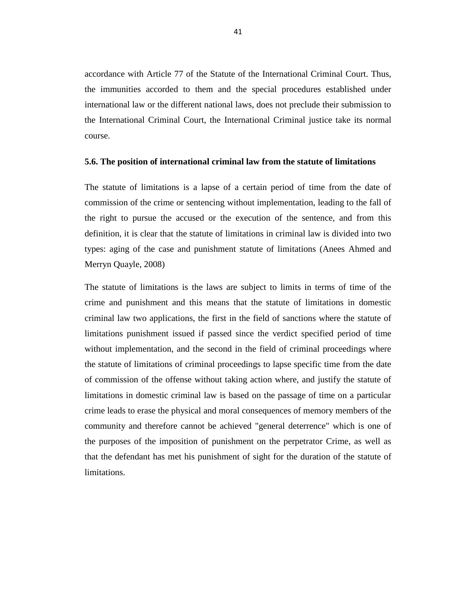accordance with Article 77 of the Statute of the International Criminal Court. Thus, the immunities accorded to them and the special procedures established under international law or the different national laws, does not preclude their submission to the International Criminal Court, the International Criminal justice take its normal course.

#### <span id="page-50-0"></span>**5.6. The position of international criminal law from the statute of limitations**

The statute of limitations is a lapse of a certain period of time from the date of commission of the crime or sentencing without implementation, leading to the fall of the right to pursue the accused or the execution of the sentence, and from this definition, it is clear that the statute of limitations in criminal law is divided into two types: aging of the case and punishment statute of limitations (Anees Ahmed and Merryn Quayle, 2008)

The statute of limitations is the laws are subject to limits in terms of time of the crime and punishment and this means that the statute of limitations in domestic criminal law two applications, the first in the field of sanctions where the statute of limitations punishment issued if passed since the verdict specified period of time without implementation, and the second in the field of criminal proceedings where the statute of limitations of criminal proceedings to lapse specific time from the date of commission of the offense without taking action where, and justify the statute of limitations in domestic criminal law is based on the passage of time on a particular crime leads to erase the physical and moral consequences of memory members of the community and therefore cannot be achieved "general deterrence" which is one of the purposes of the imposition of punishment on the perpetrator Crime, as well as that the defendant has met his punishment of sight for the duration of the statute of limitations.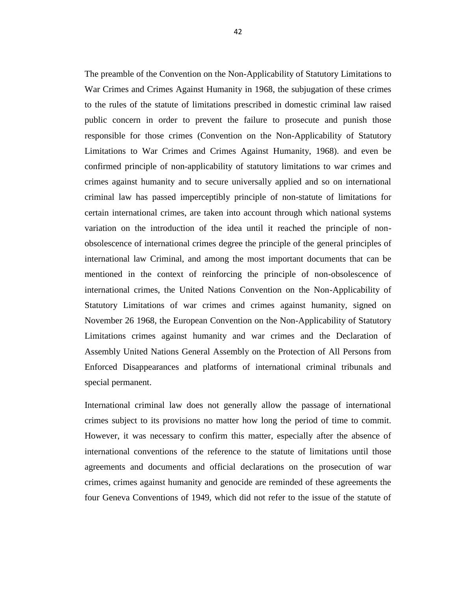The preamble of the Convention on the Non-Applicability of Statutory Limitations to War Crimes and Crimes Against Humanity in 1968, the subjugation of these crimes to the rules of the statute of limitations prescribed in domestic criminal law raised public concern in order to prevent the failure to prosecute and punish those responsible for those crimes (Convention on the Non-Applicability of Statutory Limitations to War Crimes and Crimes Against Humanity, 1968). and even be confirmed principle of non-applicability of statutory limitations to war crimes and crimes against humanity and to secure universally applied and so on international criminal law has passed imperceptibly principle of non-statute of limitations for certain international crimes, are taken into account through which national systems variation on the introduction of the idea until it reached the principle of nonobsolescence of international crimes degree the principle of the general principles of international law Criminal, and among the most important documents that can be mentioned in the context of reinforcing the principle of non-obsolescence of international crimes, the United Nations Convention on the Non-Applicability of Statutory Limitations of war crimes and crimes against humanity, signed on November 26 1968, the European Convention on the Non-Applicability of Statutory Limitations crimes against humanity and war crimes and the Declaration of Assembly United Nations General Assembly on the Protection of All Persons from Enforced Disappearances and platforms of international criminal tribunals and special permanent.

International criminal law does not generally allow the passage of international crimes subject to its provisions no matter how long the period of time to commit. However, it was necessary to confirm this matter, especially after the absence of international conventions of the reference to the statute of limitations until those agreements and documents and official declarations on the prosecution of war crimes, crimes against humanity and genocide are reminded of these agreements the four Geneva Conventions of 1949, which did not refer to the issue of the statute of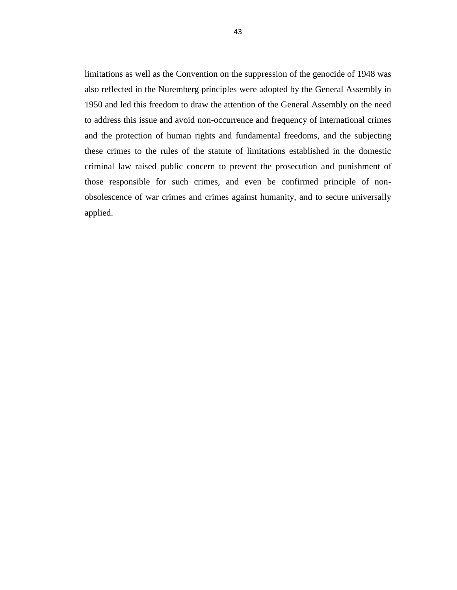limitations as well as the Convention on the suppression of the genocide of 1948 was also reflected in the Nuremberg principles were adopted by the General Assembly in 1950 and led this freedom to draw the attention of the General Assembly on the need to address this issue and avoid non-occurrence and frequency of international crimes and the protection of human rights and fundamental freedoms, and the subjecting these crimes to the rules of the statute of limitations established in the domestic criminal law raised public concern to prevent the prosecution and punishment of those responsible for such crimes, and even be confirmed principle of nonobsolescence of war crimes and crimes against humanity, and to secure universally applied.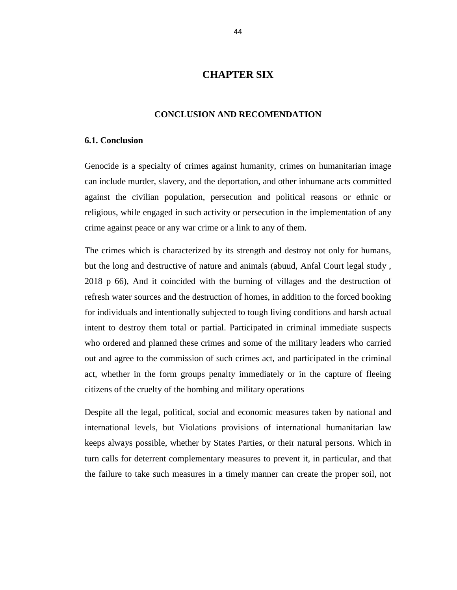# **CHAPTER SIX**

#### **CONCLUSION AND RECOMENDATION**

#### <span id="page-53-2"></span><span id="page-53-1"></span><span id="page-53-0"></span>**6.1. Conclusion**

Genocide is a specialty of crimes against humanity, crimes on humanitarian image can include murder, slavery, and the deportation, and other inhumane acts committed against the civilian population, persecution and political reasons or ethnic or religious, while engaged in such activity or persecution in the implementation of any crime against peace or any war crime or a link to any of them.

The crimes which is characterized by its strength and destroy not only for humans, but the long and destructive of nature and animals (abuud, Anfal Court legal study , 2018 p 66), And it coincided with the burning of villages and the destruction of refresh water sources and the destruction of homes, in addition to the forced booking for individuals and intentionally subjected to tough living conditions and harsh actual intent to destroy them total or partial. Participated in criminal immediate suspects who ordered and planned these crimes and some of the military leaders who carried out and agree to the commission of such crimes act, and participated in the criminal act, whether in the form groups penalty immediately or in the capture of fleeing citizens of the cruelty of the bombing and military operations

Despite all the legal, political, social and economic measures taken by national and international levels, but Violations provisions of international humanitarian law keeps always possible, whether by States Parties, or their natural persons. Which in turn calls for deterrent complementary measures to prevent it, in particular, and that the failure to take such measures in a timely manner can create the proper soil, not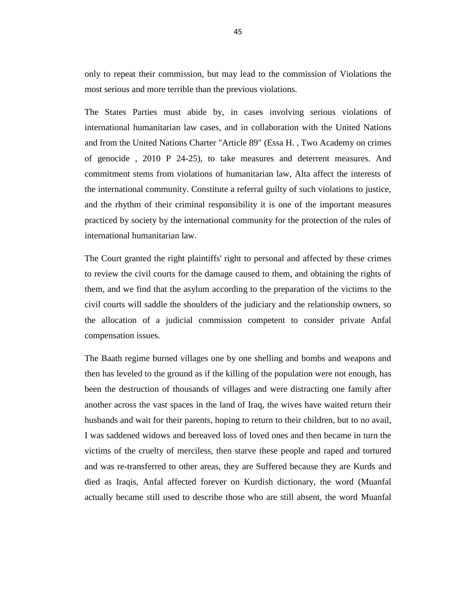only to repeat their commission, but may lead to the commission of Violations the most serious and more terrible than the previous violations.

The States Parties must abide by, in cases involving serious violations of international humanitarian law cases, and in collaboration with the United Nations and from the United Nations Charter "Article 89" (Essa H. , Two Academy on crimes of genocide , 2010 P 24-25), to take measures and deterrent measures. And commitment stems from violations of humanitarian law, Alta affect the interests of the international community. Constitute a referral guilty of such violations to justice, and the rhythm of their criminal responsibility it is one of the important measures practiced by society by the international community for the protection of the rules of international humanitarian law.

The Court granted the right plaintiffs' right to personal and affected by these crimes to review the civil courts for the damage caused to them, and obtaining the rights of them, and we find that the asylum according to the preparation of the victims to the civil courts will saddle the shoulders of the judiciary and the relationship owners, so the allocation of a judicial commission competent to consider private Anfal compensation issues.

The Baath regime burned villages one by one shelling and bombs and weapons and then has leveled to the ground as if the killing of the population were not enough, has been the destruction of thousands of villages and were distracting one family after another across the vast spaces in the land of Iraq, the wives have waited return their husbands and wait for their parents, hoping to return to their children, but to no avail, I was saddened widows and bereaved loss of loved ones and then became in turn the victims of the cruelty of merciless, then starve these people and raped and tortured and was re-transferred to other areas, they are Suffered because they are Kurds and died as Iraqis, Anfal affected forever on Kurdish dictionary, the word (Muanfal actually became still used to describe those who are still absent, the word Muanfal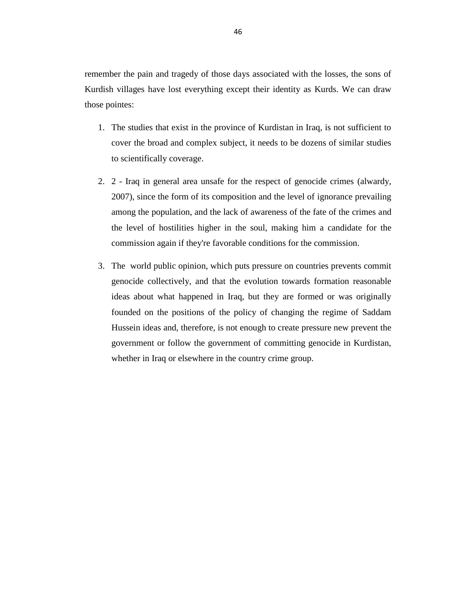remember the pain and tragedy of those days associated with the losses, the sons of Kurdish villages have lost everything except their identity as Kurds. We can draw those pointes:

- 1. The studies that exist in the province of Kurdistan in Iraq, is not sufficient to cover the broad and complex subject, it needs to be dozens of similar studies to scientifically coverage.
- 2. 2 Iraq in general area unsafe for the respect of genocide crimes (alwardy, 2007), since the form of its composition and the level of ignorance prevailing among the population, and the lack of awareness of the fate of the crimes and the level of hostilities higher in the soul, making him a candidate for the commission again if they're favorable conditions for the commission.
- <span id="page-55-0"></span>3. The world public opinion, which puts pressure on countries prevents commit genocide collectively, and that the evolution towards formation reasonable ideas about what happened in Iraq, but they are formed or was originally founded on the positions of the policy of changing the regime of Saddam Hussein ideas and, therefore, is not enough to create pressure new prevent the government or follow the government of committing genocide in Kurdistan, whether in Iraq or elsewhere in the country crime group.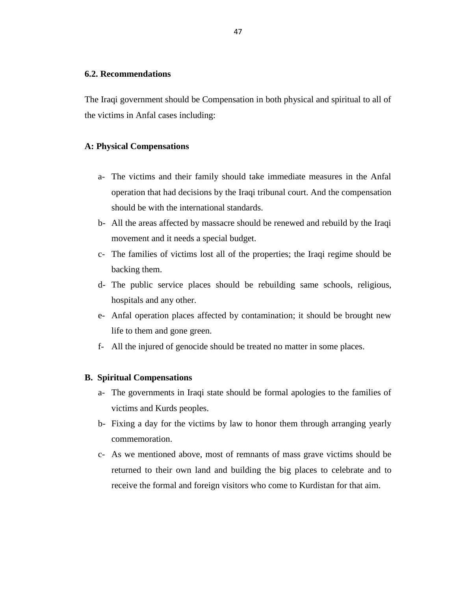#### **6.2. Recommendations**

The Iraqi government should be Compensation in both physical and spiritual to all of the victims in Anfal cases including:

#### **A: Physical Compensations**

- a- The victims and their family should take immediate measures in the Anfal operation that had decisions by the Iraqi tribunal court. And the compensation should be with the international standards.
- b- All the areas affected by massacre should be renewed and rebuild by the Iraqi movement and it needs a special budget.
- c- The families of victims lost all of the properties; the Iraqi regime should be backing them.
- d- The public service places should be rebuilding same schools, religious, hospitals and any other.
- e- Anfal operation places affected by contamination; it should be brought new life to them and gone green.
- f- All the injured of genocide should be treated no matter in some places.

#### **B. Spiritual Compensations**

- a- The governments in Iraqi state should be formal apologies to the families of victims and Kurds peoples.
- b- Fixing a day for the victims by law to honor them through arranging yearly commemoration.
- c- As we mentioned above, most of remnants of mass grave victims should be returned to their own land and building the big places to celebrate and to receive the formal and foreign visitors who come to Kurdistan for that aim.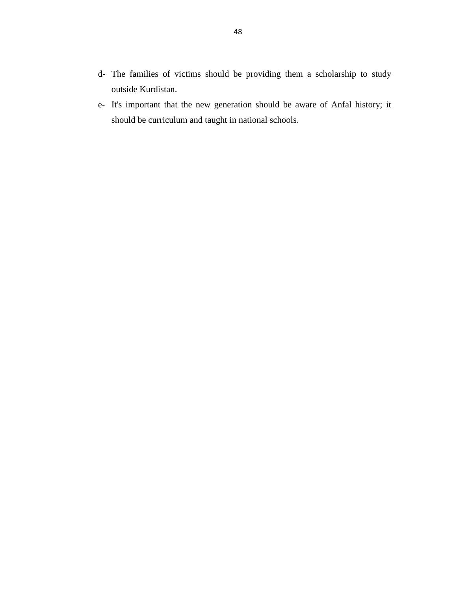- d- The families of victims should be providing them a scholarship to study outside Kurdistan.
- e- It's important that the new generation should be aware of Anfal history; it should be curriculum and taught in national schools.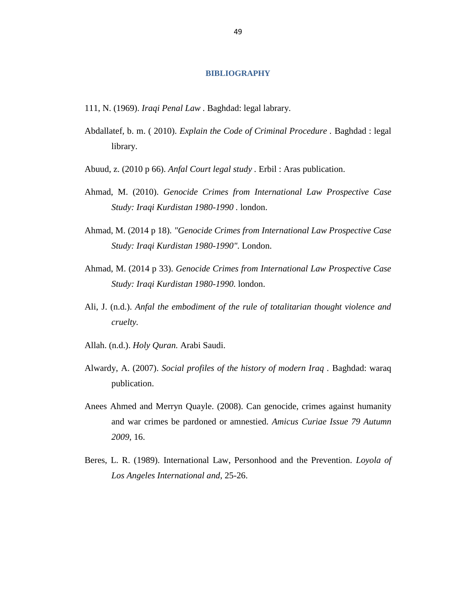#### **BIBLIOGRAPHY**

- 111, N. (1969). *Iraqi Penal Law .* Baghdad: legal labrary.
- Abdallatef, b. m. ( 2010). *Explain the Code of Criminal Procedure .* Baghdad : legal library.
- Abuud, z. (2010 p 66). *Anfal Court legal study .* Erbil : Aras publication.
- Ahmad, M. (2010). *Genocide Crimes from International Law Prospective Case Study: Iraqi Kurdistan 1980-1990 .* london.
- Ahmad, M. (2014 p 18). *"Genocide Crimes from International Law Prospective Case Study: Iraqi Kurdistan 1980-1990".* London.
- Ahmad, M. (2014 p 33). *Genocide Crimes from International Law Prospective Case Study: Iraqi Kurdistan 1980-1990.* london.
- Ali, J. (n.d.). *Anfal the embodiment of the rule of totalitarian thought violence and cruelty.*
- Allah. (n.d.). *Holy Quran.* Arabi Saudi.
- Alwardy, A. (2007). *Social profiles of the history of modern Iraq .* Baghdad: waraq publication.
- Anees Ahmed and Merryn Quayle. (2008). Can genocide, crimes against humanity and war crimes be pardoned or amnestied. *Amicus Curiae Issue 79 Autumn 2009*, 16.
- Beres, L. R. (1989). International Law, Personhood and the Prevention. *Loyola of Los Angeles International and*, 25-26.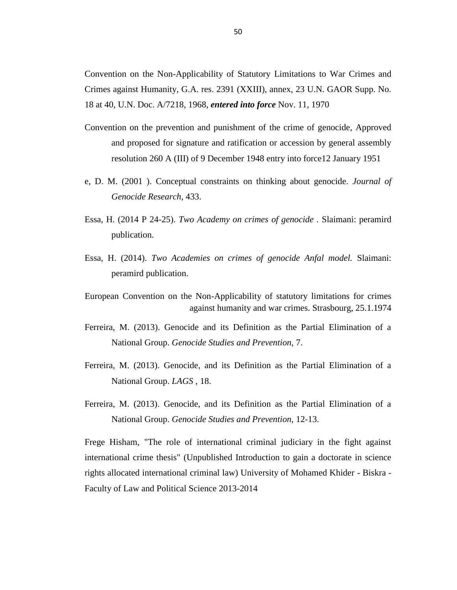Convention on the Non-Applicability of Statutory Limitations to War Crimes and Crimes against Humanity, G.A. res. 2391 (XXIII), annex, 23 U.N. GAOR Supp. No. 18 at 40, U.N. Doc. A/7218, 1968, *entered into force* Nov. 11, 1970

- Convention on the prevention and punishment of the crime of genocide, Approved and proposed for signature and ratification or accession by general assembly resolution 260 A (III) of 9 December 1948 entry into force12 January 1951
- e, D. M. (2001 ). Conceptual constraints on thinking about genocide. *Journal of Genocide Research*, 433.
- Essa, H. (2014 P 24-25). *Two Academy on crimes of genocide .* Slaimani: peramird publication.
- Essa, H. (2014). *Two Academies on crimes of genocide Anfal model.* Slaimani: peramird publication.
- European Convention on the Non-Applicability of statutory limitations for crimes against humanity and war crimes. Strasbourg, 25.1.1974
- Ferreira, M. (2013). Genocide and its Definition as the Partial Elimination of a National Group. *Genocide Studies and Prevention*, 7.
- Ferreira, M. (2013). Genocide, and its Definition as the Partial Elimination of a National Group. *LAGS* , 18.
- Ferreira, M. (2013). Genocide, and its Definition as the Partial Elimination of a National Group. *Genocide Studies and Prevention*, 12-13.

Frege Hisham, "The role of international criminal judiciary in the fight against international crime thesis" (Unpublished Introduction to gain a doctorate in science rights allocated international criminal law) University of Mohamed Khider - Biskra - Faculty of Law and Political Science 2013-2014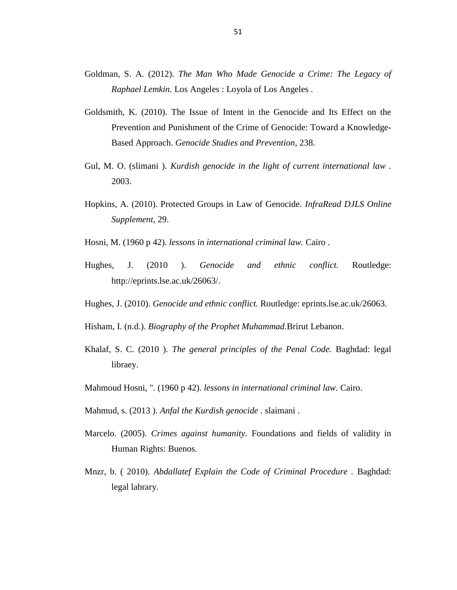- Goldman, S. A. (2012). *The Man Who Made Genocide a Crime: The Legacy of Raphael Lemkin.* Los Angeles : Loyola of Los Angeles .
- Goldsmith, K. (2010). The Issue of Intent in the Genocide and Its Effect on the Prevention and Punishment of the Crime of Genocide: Toward a Knowledge-Based Approach. *Genocide Studies and Prevention*, 238.
- Gul, M. O. (slimani ). *Kurdish genocide in the light of current international law .* 2003.
- Hopkins, A. (2010). Protected Groups in Law of Genocide. *InfraRead DJLS Online Supplement*, 29.
- Hosni, M. (1960 p 42). *lessons in international criminal law.* Cairo .
- Hughes, J. (2010 ). *Genocide and ethnic conflict.* Routledge: http://eprints.lse.ac.uk/26063/.
- Hughes, J. (2010). *Genocide and ethnic conflict.* Routledge: eprints.lse.ac.uk/26063.
- Hisham, I. (n.d.). *Biography of the Prophet Muhammad.*Brirut Lebanon.
- Khalaf, S. C. (2010 ). *The general principles of the Penal Code.* Baghdad: legal libraey.
- Mahmoud Hosni, ". (1960 p 42). *lessons in international criminal law.* Cairo.
- Mahmud, s. (2013 ). *Anfal the Kurdish genocide .* slaimani .
- Marcelo. (2005). *Crimes against humanity.* Foundations and fields of validity in Human Rights: Buenos.
- Mnzr, b. ( 2010). *Abdallatef Explain the Code of Criminal Procedure .* Baghdad: legal labrary.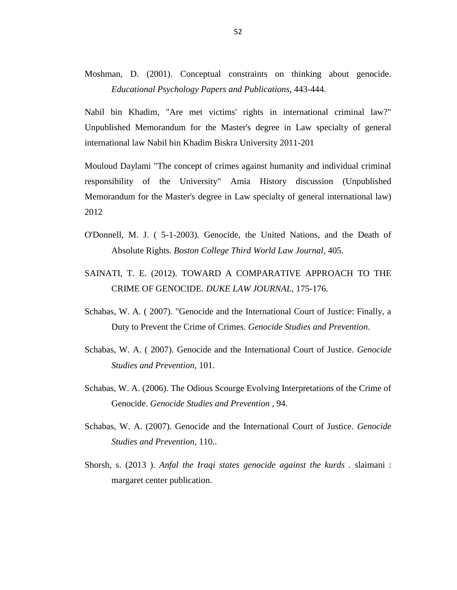Moshman, D. (2001). Conceptual constraints on thinking about genocide. *Educational Psychology Papers and Publications*, 443-444.

Nabil bin Khadim, "Are met victims' rights in international criminal law?" Unpublished Memorandum for the Master's degree in Law specialty of general international law Nabil bin Khadim Biskra University 2011-201

Mouloud Daylami "The concept of crimes against humanity and individual criminal responsibility of the University" Amia History discussion (Unpublished Memorandum for the Master's degree in Law specialty of general international law) 2012

- O'Donnell, M. J. ( 5-1-2003). Genocide, the United Nations, and the Death of Absolute Rights. *Boston College Third World Law Journal*, 405.
- SAINATI, T. E. (2012). TOWARD A COMPARATIVE APPROACH TO THE CRIME OF GENOCIDE. *DUKE LAW JOURNAL*, 175-176.
- Schabas, W. A. ( 2007). "Genocide and the International Court of Justice: Finally, a Duty to Prevent the Crime of Crimes. *Genocide Studies and Prevention*.
- Schabas, W. A. ( 2007). Genocide and the International Court of Justice. *Genocide Studies and Prevention*, 101.
- Schabas, W. A. (2006). The Odious Scourge Evolving Interpretations of the Crime of Genocide. *Genocide Studies and Prevention* , 94.
- Schabas, W. A. (2007). Genocide and the International Court of Justice. *Genocide Studies and Prevention*, 110..
- Shorsh, s. (2013 ). *Anfal the Iraqi states genocide against the kurds .* slaimani : margaret center publication.